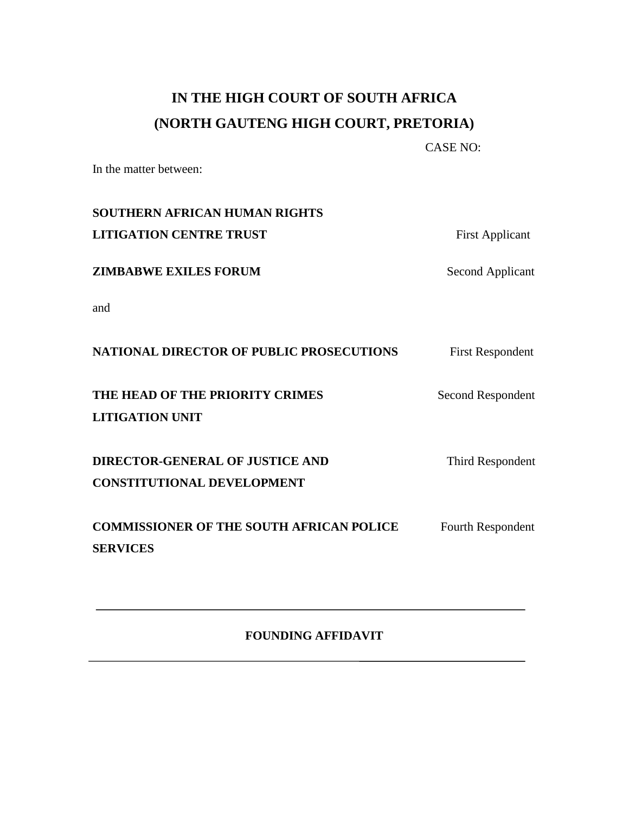# **IN THE HIGH COURT OF SOUTH AFRICA (NORTH GAUTENG HIGH COURT, PRETORIA)**

CASE NO:

In the matter between:

| <b>SOUTHERN AFRICAN HUMAN RIGHTS</b>                                        |                          |
|-----------------------------------------------------------------------------|--------------------------|
| <b>LITIGATION CENTRE TRUST</b>                                              | <b>First Applicant</b>   |
| <b>ZIMBABWE EXILES FORUM</b>                                                | <b>Second Applicant</b>  |
| and                                                                         |                          |
| NATIONAL DIRECTOR OF PUBLIC PROSECUTIONS                                    | <b>First Respondent</b>  |
| THE HEAD OF THE PRIORITY CRIMES<br><b>LITIGATION UNIT</b>                   | <b>Second Respondent</b> |
| <b>DIRECTOR-GENERAL OF JUSTICE AND</b><br><b>CONSTITUTIONAL DEVELOPMENT</b> | Third Respondent         |
| <b>COMMISSIONER OF THE SOUTH AFRICAN POLICE</b><br><b>SERVICES</b>          | Fourth Respondent        |

# **FOUNDING AFFIDAVIT**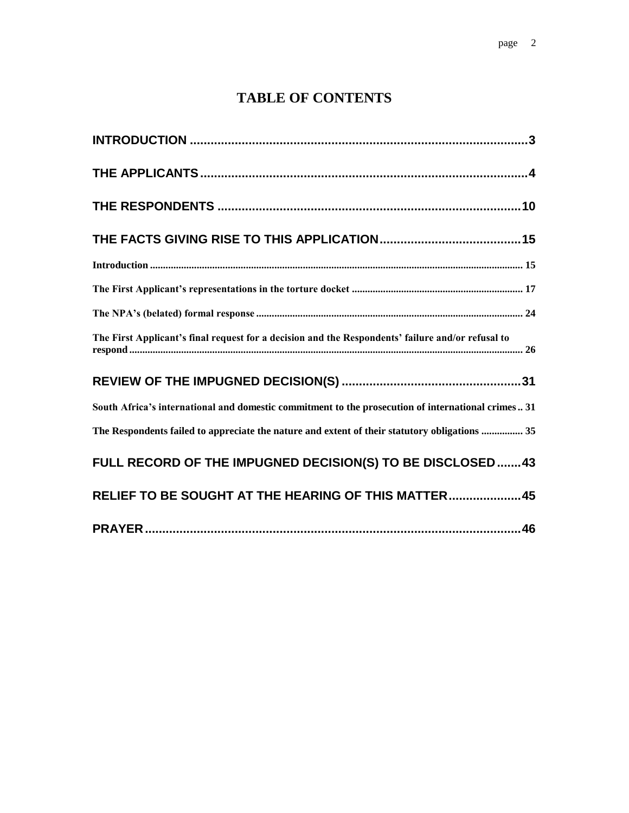# **TABLE OF CONTENTS**

| The First Applicant's final request for a decision and the Respondents' failure and/or refusal to  |
|----------------------------------------------------------------------------------------------------|
|                                                                                                    |
| South Africa's international and domestic commitment to the prosecution of international crimes 31 |
| The Respondents failed to appreciate the nature and extent of their statutory obligations  35      |
| FULL RECORD OF THE IMPUGNED DECISION(S) TO BE DISCLOSED43                                          |
| RELIEF TO BE SOUGHT AT THE HEARING OF THIS MATTER 45                                               |
|                                                                                                    |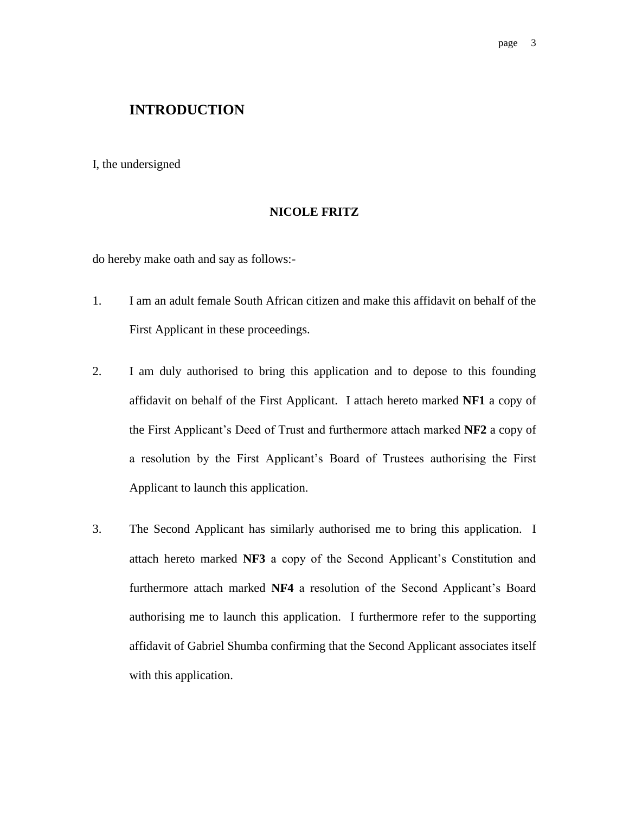## **INTRODUCTION**

I, the undersigned

#### **NICOLE FRITZ**

do hereby make oath and say as follows:-

- 1. I am an adult female South African citizen and make this affidavit on behalf of the First Applicant in these proceedings.
- 2. I am duly authorised to bring this application and to depose to this founding affidavit on behalf of the First Applicant. I attach hereto marked **NF1** a copy of the First Applicant"s Deed of Trust and furthermore attach marked **NF2** a copy of a resolution by the First Applicant"s Board of Trustees authorising the First Applicant to launch this application.
- 3. The Second Applicant has similarly authorised me to bring this application. I attach hereto marked NF3 a copy of the Second Applicant's Constitution and furthermore attach marked NF4 a resolution of the Second Applicant's Board authorising me to launch this application. I furthermore refer to the supporting affidavit of Gabriel Shumba confirming that the Second Applicant associates itself with this application.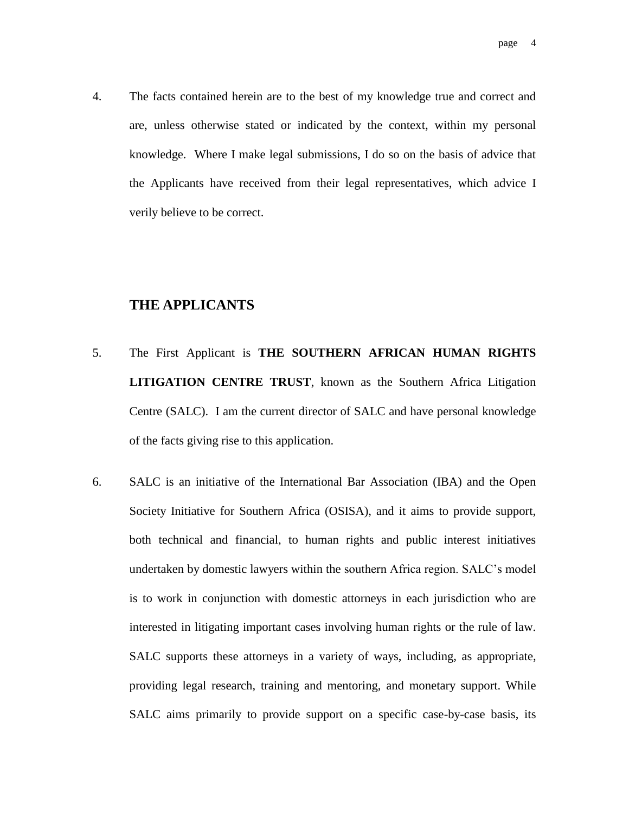4. The facts contained herein are to the best of my knowledge true and correct and are, unless otherwise stated or indicated by the context, within my personal knowledge. Where I make legal submissions, I do so on the basis of advice that the Applicants have received from their legal representatives, which advice I verily believe to be correct.

#### **THE APPLICANTS**

- 5. The First Applicant is **THE SOUTHERN AFRICAN HUMAN RIGHTS LITIGATION CENTRE TRUST**, known as the Southern Africa Litigation Centre (SALC). I am the current director of SALC and have personal knowledge of the facts giving rise to this application.
- 6. SALC is an initiative of the International Bar Association (IBA) and the Open Society Initiative for Southern Africa (OSISA), and it aims to provide support, both technical and financial, to human rights and public interest initiatives undertaken by domestic lawyers within the southern Africa region. SALC"s model is to work in conjunction with domestic attorneys in each jurisdiction who are interested in litigating important cases involving human rights or the rule of law. SALC supports these attorneys in a variety of ways, including, as appropriate, providing legal research, training and mentoring, and monetary support. While SALC aims primarily to provide support on a specific case-by-case basis, its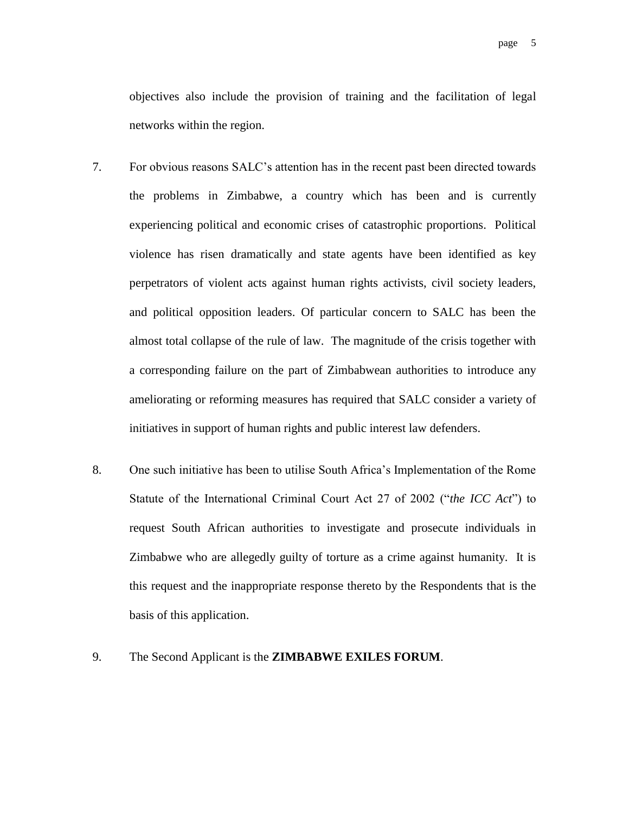objectives also include the provision of training and the facilitation of legal networks within the region.

- 7. For obvious reasons SALC"s attention has in the recent past been directed towards the problems in Zimbabwe, a country which has been and is currently experiencing political and economic crises of catastrophic proportions. Political violence has risen dramatically and state agents have been identified as key perpetrators of violent acts against human rights activists, civil society leaders, and political opposition leaders. Of particular concern to SALC has been the almost total collapse of the rule of law. The magnitude of the crisis together with a corresponding failure on the part of Zimbabwean authorities to introduce any ameliorating or reforming measures has required that SALC consider a variety of initiatives in support of human rights and public interest law defenders.
- 8. One such initiative has been to utilise South Africa"s Implementation of the Rome Statute of the International Criminal Court Act 27 of 2002 ("*the ICC Act*") to request South African authorities to investigate and prosecute individuals in Zimbabwe who are allegedly guilty of torture as a crime against humanity. It is this request and the inappropriate response thereto by the Respondents that is the basis of this application.
- 9. The Second Applicant is the **ZIMBABWE EXILES FORUM**.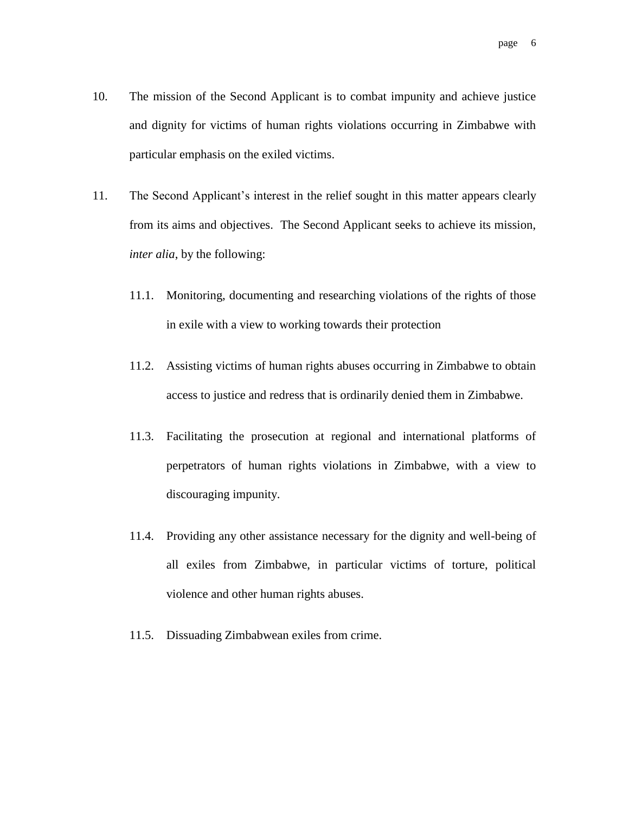- 10. The mission of the Second Applicant is to combat impunity and achieve justice and dignity for victims of human rights violations occurring in Zimbabwe with particular emphasis on the exiled victims.
- 11. The Second Applicant"s interest in the relief sought in this matter appears clearly from its aims and objectives. The Second Applicant seeks to achieve its mission, *inter alia*, by the following:
	- 11.1. Monitoring, documenting and researching violations of the rights of those in exile with a view to working towards their protection
	- 11.2. Assisting victims of human rights abuses occurring in Zimbabwe to obtain access to justice and redress that is ordinarily denied them in Zimbabwe.
	- 11.3. Facilitating the prosecution at regional and international platforms of perpetrators of human rights violations in Zimbabwe, with a view to discouraging impunity.
	- 11.4. Providing any other assistance necessary for the dignity and well-being of all exiles from Zimbabwe, in particular victims of torture, political violence and other human rights abuses.
	- 11.5. Dissuading Zimbabwean exiles from crime.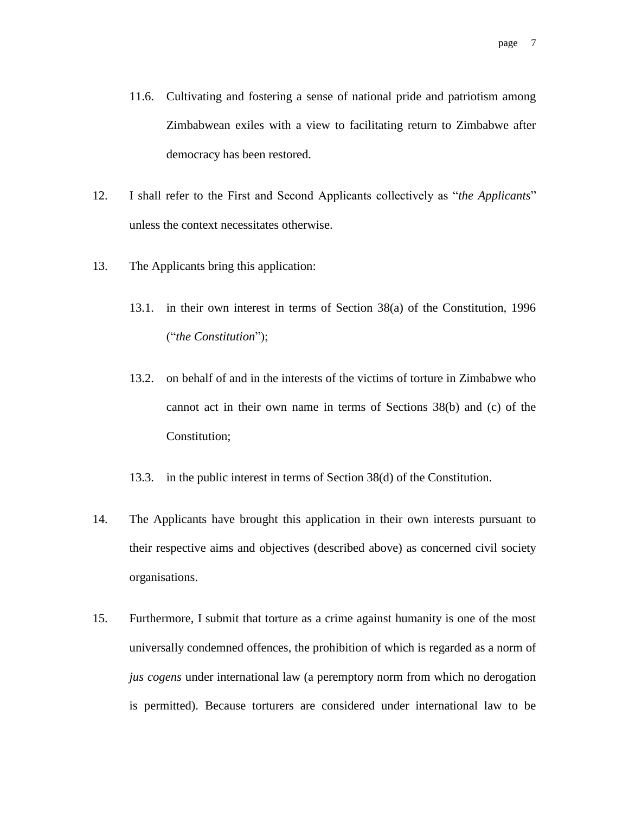- 11.6. Cultivating and fostering a sense of national pride and patriotism among Zimbabwean exiles with a view to facilitating return to Zimbabwe after democracy has been restored.
- 12. I shall refer to the First and Second Applicants collectively as "*the Applicants*" unless the context necessitates otherwise.
- 13. The Applicants bring this application:
	- 13.1. in their own interest in terms of Section 38(a) of the Constitution, 1996 ("*the Constitution*");
	- 13.2. on behalf of and in the interests of the victims of torture in Zimbabwe who cannot act in their own name in terms of Sections 38(b) and (c) of the Constitution;
	- 13.3. in the public interest in terms of Section 38(d) of the Constitution.
- 14. The Applicants have brought this application in their own interests pursuant to their respective aims and objectives (described above) as concerned civil society organisations.
- 15. Furthermore, I submit that torture as a crime against humanity is one of the most universally condemned offences, the prohibition of which is regarded as a norm of *jus cogens* under international law (a peremptory norm from which no derogation is permitted). Because torturers are considered under international law to be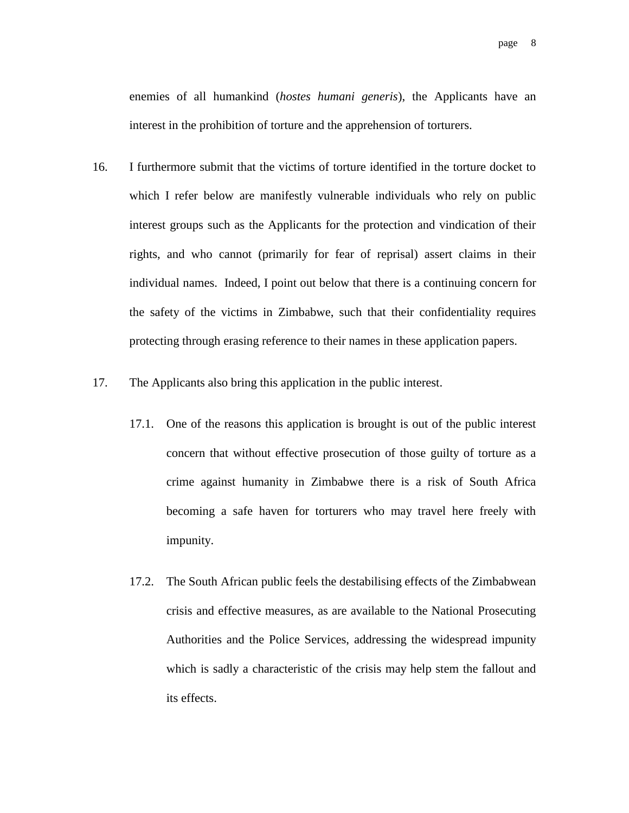enemies of all humankind (*hostes humani generis*), the Applicants have an interest in the prohibition of torture and the apprehension of torturers.

- 16. I furthermore submit that the victims of torture identified in the torture docket to which I refer below are manifestly vulnerable individuals who rely on public interest groups such as the Applicants for the protection and vindication of their rights, and who cannot (primarily for fear of reprisal) assert claims in their individual names. Indeed, I point out below that there is a continuing concern for the safety of the victims in Zimbabwe, such that their confidentiality requires protecting through erasing reference to their names in these application papers.
- 17. The Applicants also bring this application in the public interest.
	- 17.1. One of the reasons this application is brought is out of the public interest concern that without effective prosecution of those guilty of torture as a crime against humanity in Zimbabwe there is a risk of South Africa becoming a safe haven for torturers who may travel here freely with impunity.
	- 17.2. The South African public feels the destabilising effects of the Zimbabwean crisis and effective measures, as are available to the National Prosecuting Authorities and the Police Services, addressing the widespread impunity which is sadly a characteristic of the crisis may help stem the fallout and its effects.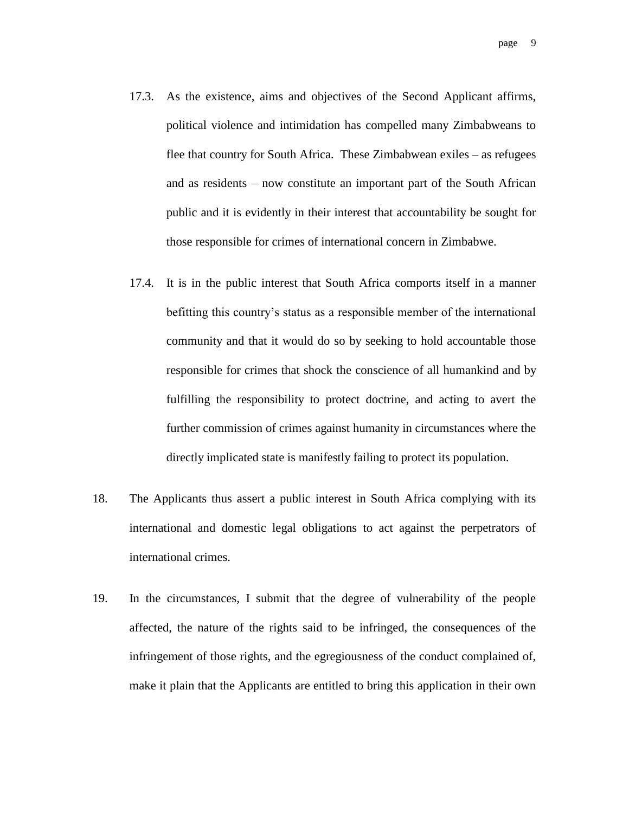- 17.3. As the existence, aims and objectives of the Second Applicant affirms, political violence and intimidation has compelled many Zimbabweans to flee that country for South Africa. These Zimbabwean exiles – as refugees and as residents – now constitute an important part of the South African public and it is evidently in their interest that accountability be sought for those responsible for crimes of international concern in Zimbabwe.
- 17.4. It is in the public interest that South Africa comports itself in a manner befitting this country"s status as a responsible member of the international community and that it would do so by seeking to hold accountable those responsible for crimes that shock the conscience of all humankind and by fulfilling the responsibility to protect doctrine, and acting to avert the further commission of crimes against humanity in circumstances where the directly implicated state is manifestly failing to protect its population.
- 18. The Applicants thus assert a public interest in South Africa complying with its international and domestic legal obligations to act against the perpetrators of international crimes.
- 19. In the circumstances, I submit that the degree of vulnerability of the people affected, the nature of the rights said to be infringed, the consequences of the infringement of those rights, and the egregiousness of the conduct complained of, make it plain that the Applicants are entitled to bring this application in their own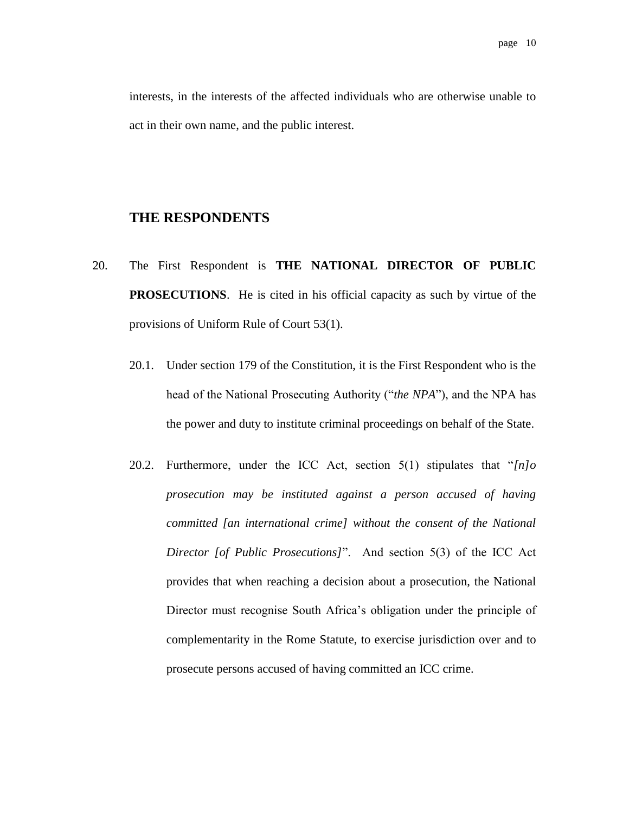interests, in the interests of the affected individuals who are otherwise unable to act in their own name, and the public interest.

#### **THE RESPONDENTS**

- 20. The First Respondent is **THE NATIONAL DIRECTOR OF PUBLIC PROSECUTIONS**. He is cited in his official capacity as such by virtue of the provisions of Uniform Rule of Court 53(1).
	- 20.1. Under section 179 of the Constitution, it is the First Respondent who is the head of the National Prosecuting Authority ("*the NPA*"), and the NPA has the power and duty to institute criminal proceedings on behalf of the State.
	- 20.2. Furthermore, under the ICC Act, section 5(1) stipulates that "*[n]o prosecution may be instituted against a person accused of having committed [an international crime] without the consent of the National Director [of Public Prosecutions]*". And section 5(3) of the ICC Act provides that when reaching a decision about a prosecution, the National Director must recognise South Africa"s obligation under the principle of complementarity in the Rome Statute, to exercise jurisdiction over and to prosecute persons accused of having committed an ICC crime.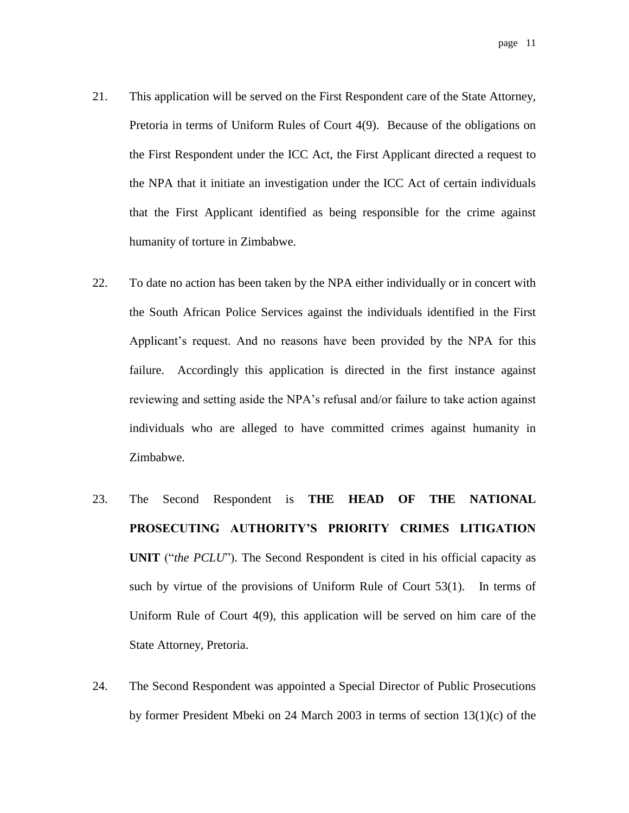- 21. This application will be served on the First Respondent care of the State Attorney, Pretoria in terms of Uniform Rules of Court 4(9). Because of the obligations on the First Respondent under the ICC Act, the First Applicant directed a request to the NPA that it initiate an investigation under the ICC Act of certain individuals that the First Applicant identified as being responsible for the crime against humanity of torture in Zimbabwe.
- 22. To date no action has been taken by the NPA either individually or in concert with the South African Police Services against the individuals identified in the First Applicant"s request. And no reasons have been provided by the NPA for this failure. Accordingly this application is directed in the first instance against reviewing and setting aside the NPA"s refusal and/or failure to take action against individuals who are alleged to have committed crimes against humanity in Zimbabwe.
- 23. The Second Respondent is **THE HEAD OF THE NATIONAL PROSECUTING AUTHORITY'S PRIORITY CRIMES LITIGATION UNIT** ("*the PCLU*"). The Second Respondent is cited in his official capacity as such by virtue of the provisions of Uniform Rule of Court 53(1). In terms of Uniform Rule of Court 4(9), this application will be served on him care of the State Attorney, Pretoria.
- 24. The Second Respondent was appointed a Special Director of Public Prosecutions by former President Mbeki on 24 March 2003 in terms of section 13(1)(c) of the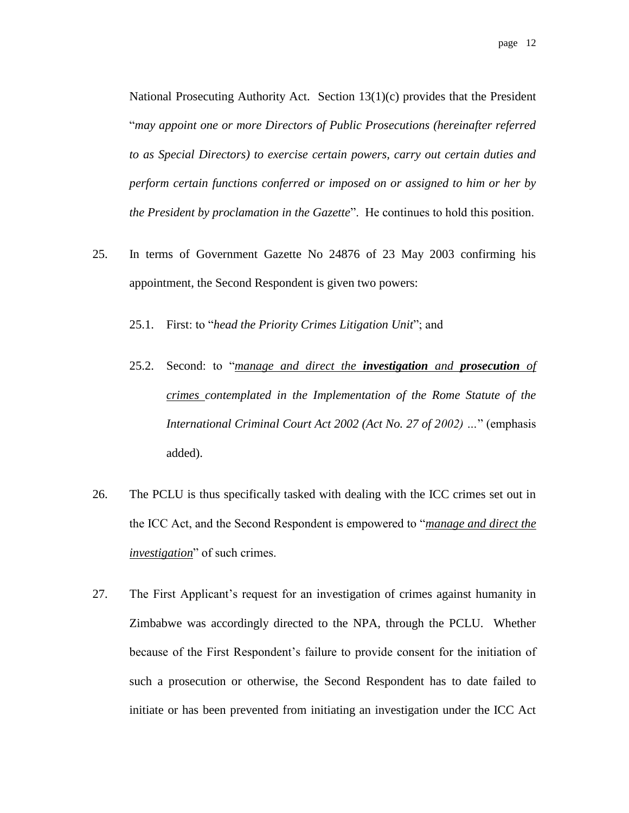National Prosecuting Authority Act. Section 13(1)(c) provides that the President "*may appoint one or more Directors of Public Prosecutions (hereinafter referred to as Special Directors) to exercise certain powers, carry out certain duties and perform certain functions conferred or imposed on or assigned to him or her by the President by proclamation in the Gazette*". He continues to hold this position.

25. In terms of Government Gazette No 24876 of 23 May 2003 confirming his appointment, the Second Respondent is given two powers:

25.1. First: to "*head the Priority Crimes Litigation Unit*"; and

- 25.2. Second: to "*manage and direct the investigation and prosecution of crimes contemplated in the Implementation of the Rome Statute of the International Criminal Court Act 2002 (Act No. 27 of 2002) …*" (emphasis added).
- 26. The PCLU is thus specifically tasked with dealing with the ICC crimes set out in the ICC Act, and the Second Respondent is empowered to "*manage and direct the investigation*" of such crimes.
- 27. The First Applicant"s request for an investigation of crimes against humanity in Zimbabwe was accordingly directed to the NPA, through the PCLU. Whether because of the First Respondent's failure to provide consent for the initiation of such a prosecution or otherwise, the Second Respondent has to date failed to initiate or has been prevented from initiating an investigation under the ICC Act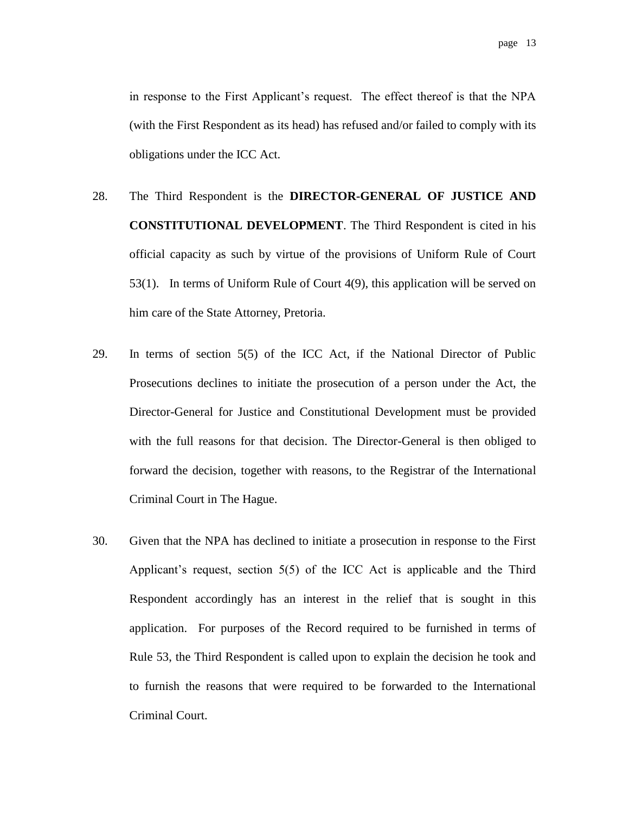in response to the First Applicant's request. The effect thereof is that the NPA (with the First Respondent as its head) has refused and/or failed to comply with its obligations under the ICC Act.

- 28. The Third Respondent is the **DIRECTOR-GENERAL OF JUSTICE AND CONSTITUTIONAL DEVELOPMENT**. The Third Respondent is cited in his official capacity as such by virtue of the provisions of Uniform Rule of Court 53(1). In terms of Uniform Rule of Court 4(9), this application will be served on him care of the State Attorney, Pretoria.
- 29. In terms of section 5(5) of the ICC Act, if the National Director of Public Prosecutions declines to initiate the prosecution of a person under the Act, the Director-General for Justice and Constitutional Development must be provided with the full reasons for that decision. The Director-General is then obliged to forward the decision, together with reasons, to the Registrar of the International Criminal Court in The Hague.
- 30. Given that the NPA has declined to initiate a prosecution in response to the First Applicant's request, section  $5(5)$  of the ICC Act is applicable and the Third Respondent accordingly has an interest in the relief that is sought in this application. For purposes of the Record required to be furnished in terms of Rule 53, the Third Respondent is called upon to explain the decision he took and to furnish the reasons that were required to be forwarded to the International Criminal Court.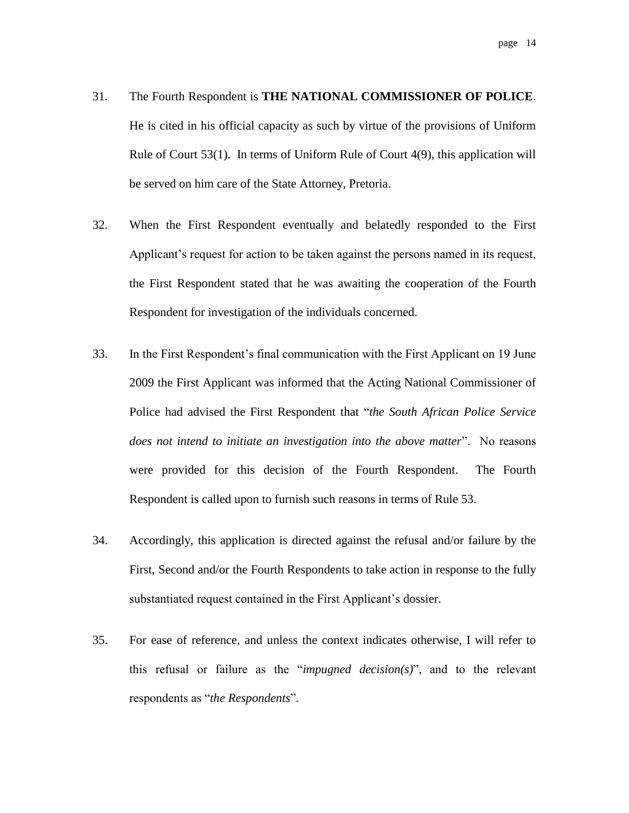- 31. The Fourth Respondent is **THE NATIONAL COMMISSIONER OF POLICE**. He is cited in his official capacity as such by virtue of the provisions of Uniform Rule of Court 53(1). In terms of Uniform Rule of Court 4(9), this application will be served on him care of the State Attorney, Pretoria.
- 32. When the First Respondent eventually and belatedly responded to the First Applicant's request for action to be taken against the persons named in its request, the First Respondent stated that he was awaiting the cooperation of the Fourth Respondent for investigation of the individuals concerned.
- 33. In the First Respondent"s final communication with the First Applicant on 19 June 2009 the First Applicant was informed that the Acting National Commissioner of Police had advised the First Respondent that "*the South African Police Service does not intend to initiate an investigation into the above matter*". No reasons were provided for this decision of the Fourth Respondent. The Fourth Respondent is called upon to furnish such reasons in terms of Rule 53.
- 34. Accordingly, this application is directed against the refusal and/or failure by the First, Second and/or the Fourth Respondents to take action in response to the fully substantiated request contained in the First Applicant's dossier.
- 35. For ease of reference, and unless the context indicates otherwise, I will refer to this refusal or failure as the "*impugned decision(s)*", and to the relevant respondents as "*the Respondents*".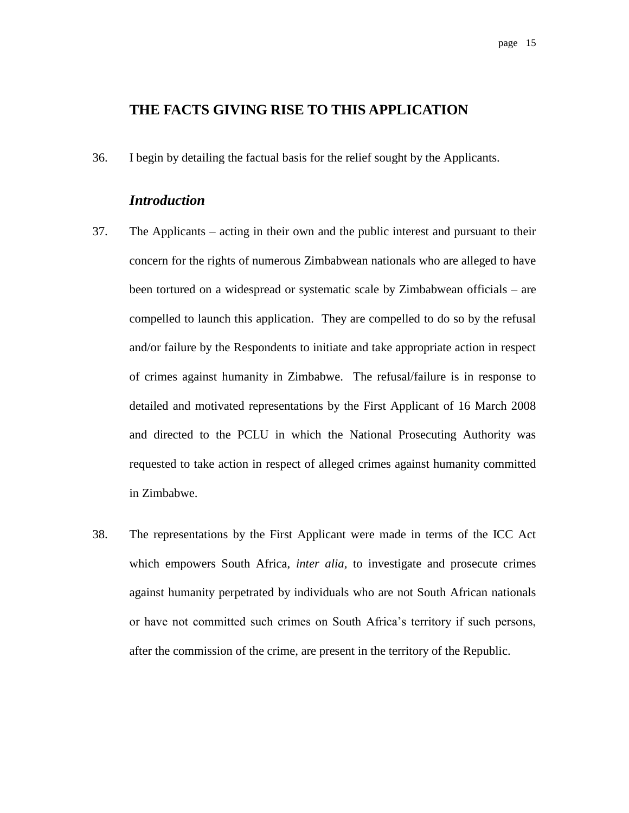#### **THE FACTS GIVING RISE TO THIS APPLICATION**

36. I begin by detailing the factual basis for the relief sought by the Applicants.

## *Introduction*

- 37. The Applicants acting in their own and the public interest and pursuant to their concern for the rights of numerous Zimbabwean nationals who are alleged to have been tortured on a widespread or systematic scale by Zimbabwean officials – are compelled to launch this application. They are compelled to do so by the refusal and/or failure by the Respondents to initiate and take appropriate action in respect of crimes against humanity in Zimbabwe. The refusal/failure is in response to detailed and motivated representations by the First Applicant of 16 March 2008 and directed to the PCLU in which the National Prosecuting Authority was requested to take action in respect of alleged crimes against humanity committed in Zimbabwe.
- 38. The representations by the First Applicant were made in terms of the ICC Act which empowers South Africa, *inter alia,* to investigate and prosecute crimes against humanity perpetrated by individuals who are not South African nationals or have not committed such crimes on South Africa"s territory if such persons, after the commission of the crime, are present in the territory of the Republic.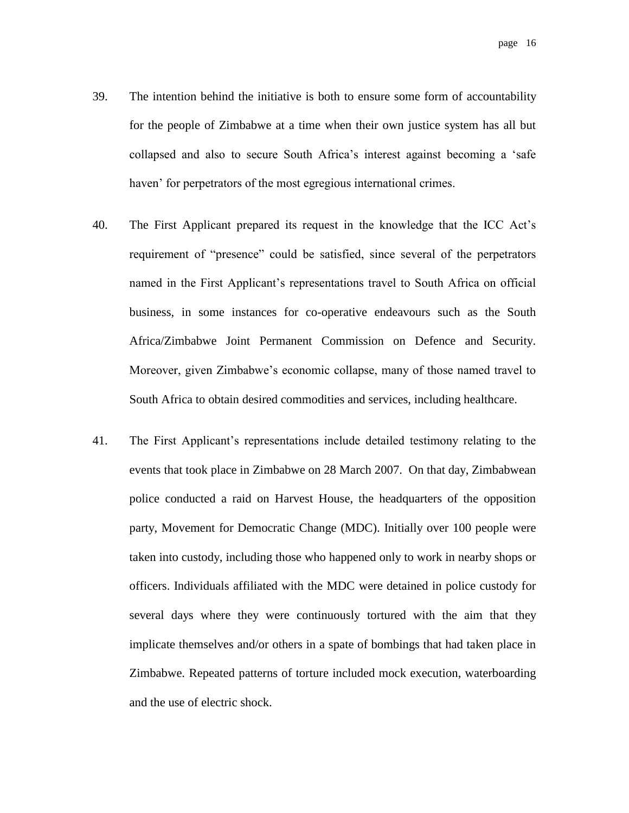- 39. The intention behind the initiative is both to ensure some form of accountability for the people of Zimbabwe at a time when their own justice system has all but collapsed and also to secure South Africa"s interest against becoming a "safe haven' for perpetrators of the most egregious international crimes.
- 40. The First Applicant prepared its request in the knowledge that the ICC Act"s requirement of "presence" could be satisfied, since several of the perpetrators named in the First Applicant"s representations travel to South Africa on official business, in some instances for co-operative endeavours such as the South Africa/Zimbabwe Joint Permanent Commission on Defence and Security. Moreover, given Zimbabwe"s economic collapse, many of those named travel to South Africa to obtain desired commodities and services, including healthcare.
- 41. The First Applicant"s representations include detailed testimony relating to the events that took place in Zimbabwe on 28 March 2007. On that day, Zimbabwean police conducted a raid on Harvest House, the headquarters of the opposition party, Movement for Democratic Change (MDC). Initially over 100 people were taken into custody, including those who happened only to work in nearby shops or officers. Individuals affiliated with the MDC were detained in police custody for several days where they were continuously tortured with the aim that they implicate themselves and/or others in a spate of bombings that had taken place in Zimbabwe. Repeated patterns of torture included mock execution, waterboarding and the use of electric shock.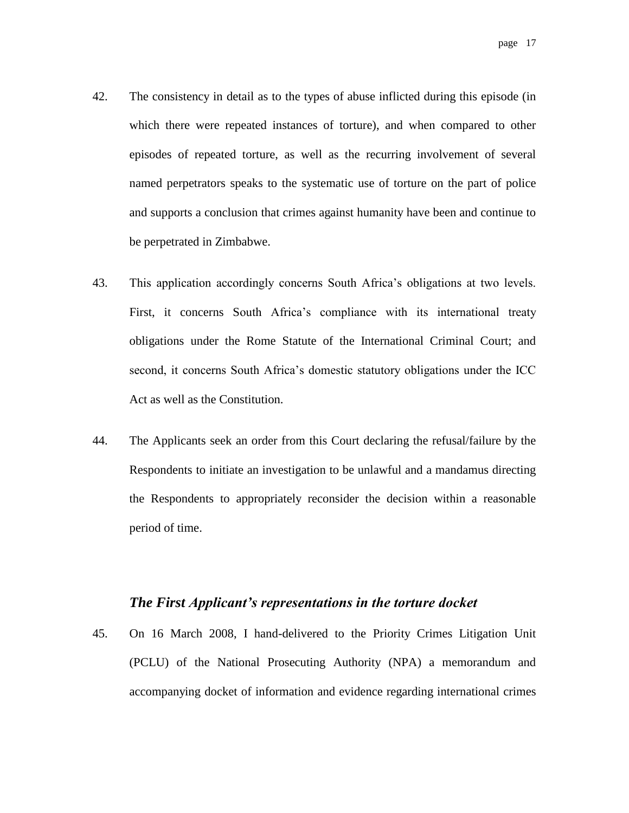- 42. The consistency in detail as to the types of abuse inflicted during this episode (in which there were repeated instances of torture), and when compared to other episodes of repeated torture, as well as the recurring involvement of several named perpetrators speaks to the systematic use of torture on the part of police and supports a conclusion that crimes against humanity have been and continue to be perpetrated in Zimbabwe.
- 43. This application accordingly concerns South Africa"s obligations at two levels. First, it concerns South Africa"s compliance with its international treaty obligations under the Rome Statute of the International Criminal Court; and second, it concerns South Africa's domestic statutory obligations under the ICC Act as well as the Constitution.
- 44. The Applicants seek an order from this Court declaring the refusal/failure by the Respondents to initiate an investigation to be unlawful and a mandamus directing the Respondents to appropriately reconsider the decision within a reasonable period of time.

#### *The First Applicant's representations in the torture docket*

45. On 16 March 2008, I hand-delivered to the Priority Crimes Litigation Unit (PCLU) of the National Prosecuting Authority (NPA) a memorandum and accompanying docket of information and evidence regarding international crimes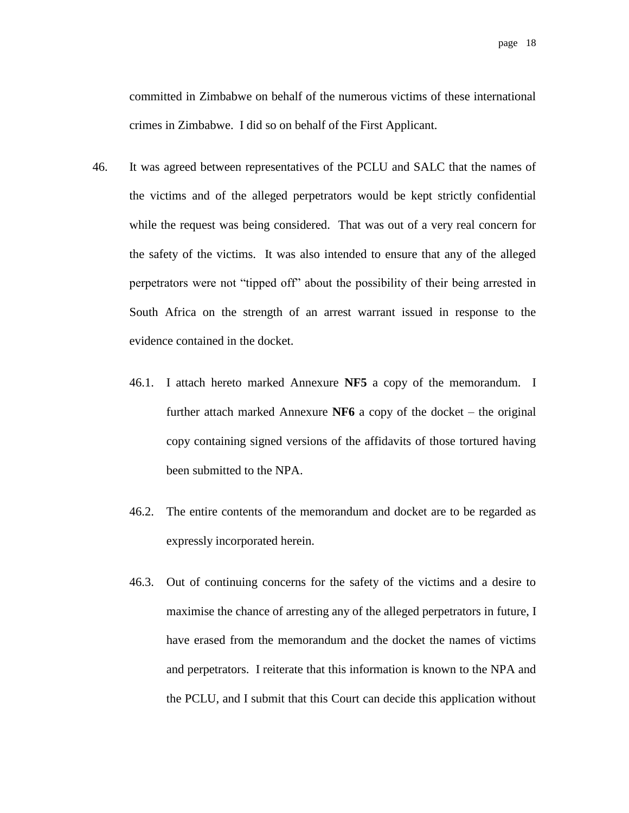committed in Zimbabwe on behalf of the numerous victims of these international crimes in Zimbabwe. I did so on behalf of the First Applicant.

- 46. It was agreed between representatives of the PCLU and SALC that the names of the victims and of the alleged perpetrators would be kept strictly confidential while the request was being considered. That was out of a very real concern for the safety of the victims. It was also intended to ensure that any of the alleged perpetrators were not "tipped off" about the possibility of their being arrested in South Africa on the strength of an arrest warrant issued in response to the evidence contained in the docket.
	- 46.1. I attach hereto marked Annexure **NF5** a copy of the memorandum. I further attach marked Annexure **NF6** a copy of the docket – the original copy containing signed versions of the affidavits of those tortured having been submitted to the NPA.
	- 46.2. The entire contents of the memorandum and docket are to be regarded as expressly incorporated herein.
	- 46.3. Out of continuing concerns for the safety of the victims and a desire to maximise the chance of arresting any of the alleged perpetrators in future, I have erased from the memorandum and the docket the names of victims and perpetrators. I reiterate that this information is known to the NPA and the PCLU, and I submit that this Court can decide this application without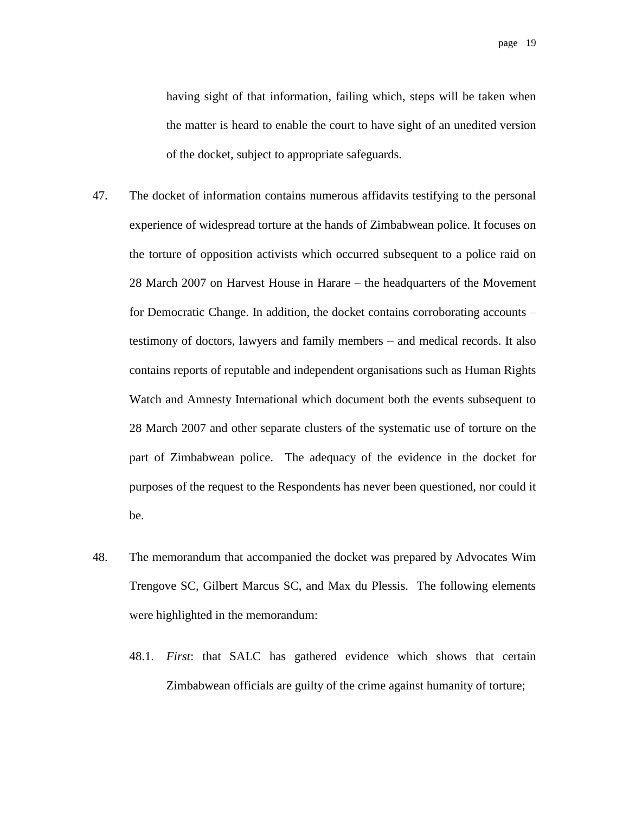having sight of that information, failing which, steps will be taken when the matter is heard to enable the court to have sight of an unedited version of the docket, subject to appropriate safeguards.

- 47. The docket of information contains numerous affidavits testifying to the personal experience of widespread torture at the hands of Zimbabwean police. It focuses on the torture of opposition activists which occurred subsequent to a police raid on 28 March 2007 on Harvest House in Harare – the headquarters of the Movement for Democratic Change. In addition, the docket contains corroborating accounts – testimony of doctors, lawyers and family members – and medical records. It also contains reports of reputable and independent organisations such as Human Rights Watch and Amnesty International which document both the events subsequent to 28 March 2007 and other separate clusters of the systematic use of torture on the part of Zimbabwean police. The adequacy of the evidence in the docket for purposes of the request to the Respondents has never been questioned, nor could it be.
- 48. The memorandum that accompanied the docket was prepared by Advocates Wim Trengove SC, Gilbert Marcus SC, and Max du Plessis. The following elements were highlighted in the memorandum:
	- 48.1. *First*: that SALC has gathered evidence which shows that certain Zimbabwean officials are guilty of the crime against humanity of torture;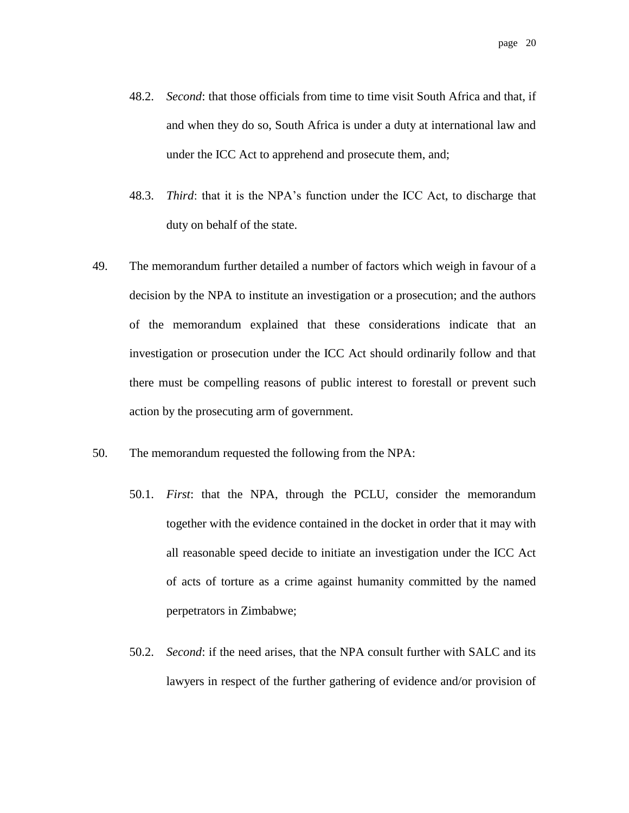- 48.2. *Second*: that those officials from time to time visit South Africa and that, if and when they do so, South Africa is under a duty at international law and under the ICC Act to apprehend and prosecute them, and;
- 48.3. *Third*: that it is the NPA"s function under the ICC Act, to discharge that duty on behalf of the state.
- 49. The memorandum further detailed a number of factors which weigh in favour of a decision by the NPA to institute an investigation or a prosecution; and the authors of the memorandum explained that these considerations indicate that an investigation or prosecution under the ICC Act should ordinarily follow and that there must be compelling reasons of public interest to forestall or prevent such action by the prosecuting arm of government.
- 50. The memorandum requested the following from the NPA:
	- 50.1. *First*: that the NPA, through the PCLU, consider the memorandum together with the evidence contained in the docket in order that it may with all reasonable speed decide to initiate an investigation under the ICC Act of acts of torture as a crime against humanity committed by the named perpetrators in Zimbabwe;
	- 50.2. *Second*: if the need arises, that the NPA consult further with SALC and its lawyers in respect of the further gathering of evidence and/or provision of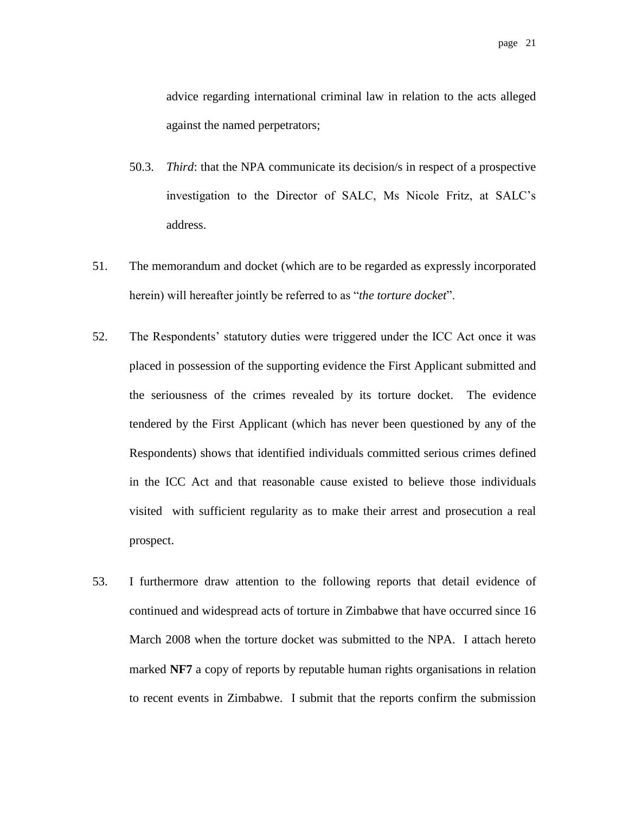advice regarding international criminal law in relation to the acts alleged against the named perpetrators;

- 50.3. *Third*: that the NPA communicate its decision/s in respect of a prospective investigation to the Director of SALC, Ms Nicole Fritz, at SALC"s address.
- 51. The memorandum and docket (which are to be regarded as expressly incorporated herein) will hereafter jointly be referred to as "*the torture docket*".
- 52. The Respondents" statutory duties were triggered under the ICC Act once it was placed in possession of the supporting evidence the First Applicant submitted and the seriousness of the crimes revealed by its torture docket. The evidence tendered by the First Applicant (which has never been questioned by any of the Respondents) shows that identified individuals committed serious crimes defined in the ICC Act and that reasonable cause existed to believe those individuals visited with sufficient regularity as to make their arrest and prosecution a real prospect.
- 53. I furthermore draw attention to the following reports that detail evidence of continued and widespread acts of torture in Zimbabwe that have occurred since 16 March 2008 when the torture docket was submitted to the NPA. I attach hereto marked **NF7** a copy of reports by reputable human rights organisations in relation to recent events in Zimbabwe. I submit that the reports confirm the submission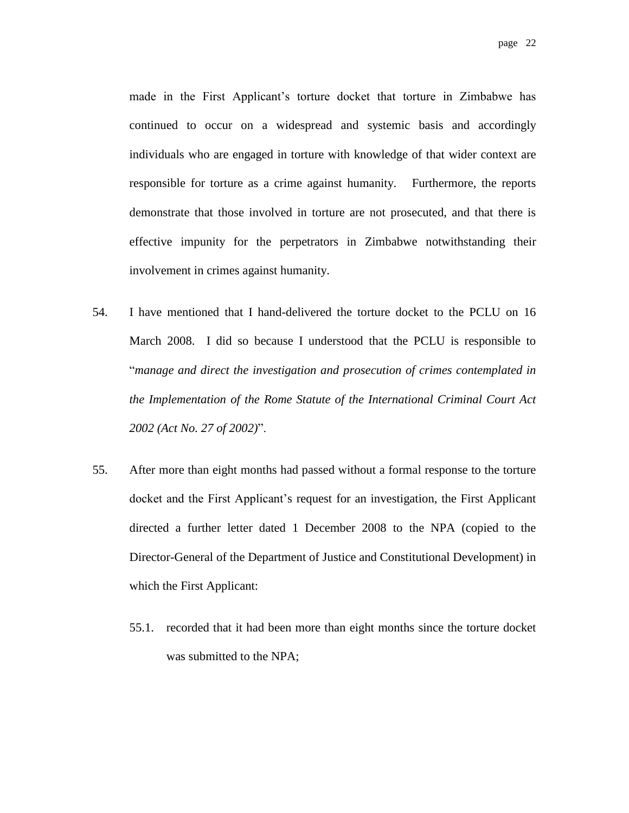made in the First Applicant"s torture docket that torture in Zimbabwe has continued to occur on a widespread and systemic basis and accordingly individuals who are engaged in torture with knowledge of that wider context are responsible for torture as a crime against humanity. Furthermore, the reports demonstrate that those involved in torture are not prosecuted, and that there is effective impunity for the perpetrators in Zimbabwe notwithstanding their involvement in crimes against humanity.

- 54. I have mentioned that I hand-delivered the torture docket to the PCLU on 16 March 2008. I did so because I understood that the PCLU is responsible to "*manage and direct the investigation and prosecution of crimes contemplated in the Implementation of the Rome Statute of the International Criminal Court Act 2002 (Act No. 27 of 2002)*".
- 55. After more than eight months had passed without a formal response to the torture docket and the First Applicant"s request for an investigation, the First Applicant directed a further letter dated 1 December 2008 to the NPA (copied to the Director-General of the Department of Justice and Constitutional Development) in which the First Applicant:
	- 55.1. recorded that it had been more than eight months since the torture docket was submitted to the NPA;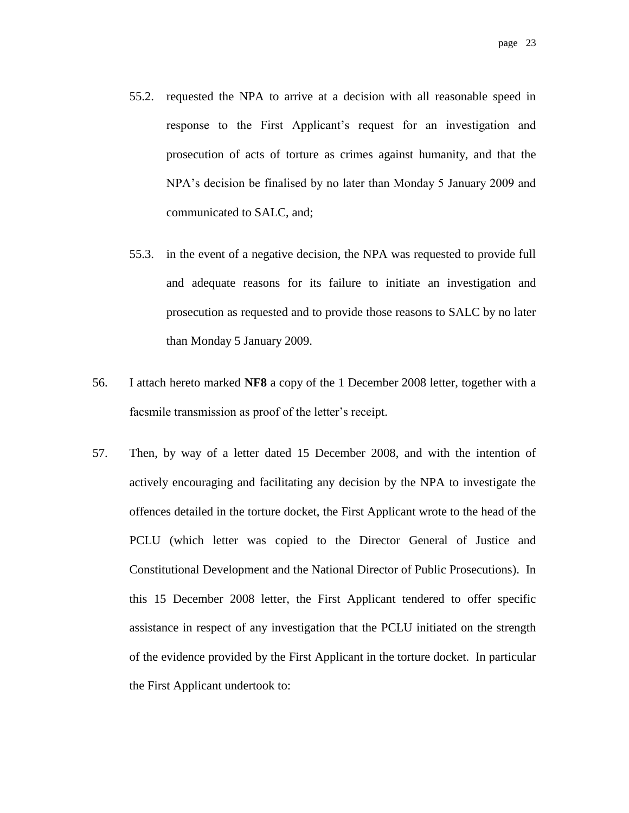- 55.2. requested the NPA to arrive at a decision with all reasonable speed in response to the First Applicant"s request for an investigation and prosecution of acts of torture as crimes against humanity, and that the NPA"s decision be finalised by no later than Monday 5 January 2009 and communicated to SALC, and;
- 55.3. in the event of a negative decision, the NPA was requested to provide full and adequate reasons for its failure to initiate an investigation and prosecution as requested and to provide those reasons to SALC by no later than Monday 5 January 2009.
- 56. I attach hereto marked **NF8** a copy of the 1 December 2008 letter, together with a facsmile transmission as proof of the letter's receipt.
- 57. Then, by way of a letter dated 15 December 2008, and with the intention of actively encouraging and facilitating any decision by the NPA to investigate the offences detailed in the torture docket, the First Applicant wrote to the head of the PCLU (which letter was copied to the Director General of Justice and Constitutional Development and the National Director of Public Prosecutions). In this 15 December 2008 letter, the First Applicant tendered to offer specific assistance in respect of any investigation that the PCLU initiated on the strength of the evidence provided by the First Applicant in the torture docket. In particular the First Applicant undertook to: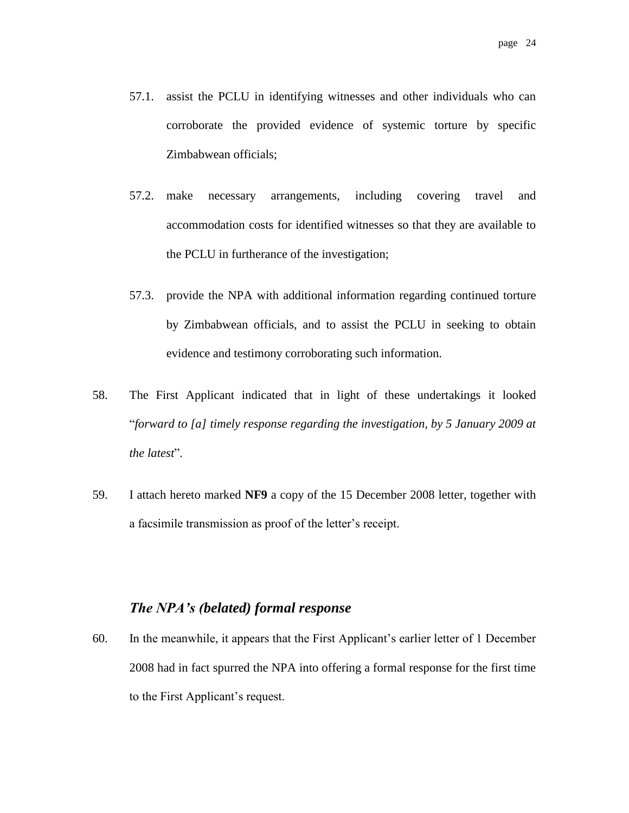- 57.1. assist the PCLU in identifying witnesses and other individuals who can corroborate the provided evidence of systemic torture by specific Zimbabwean officials;
- 57.2. make necessary arrangements, including covering travel and accommodation costs for identified witnesses so that they are available to the PCLU in furtherance of the investigation;
- 57.3. provide the NPA with additional information regarding continued torture by Zimbabwean officials, and to assist the PCLU in seeking to obtain evidence and testimony corroborating such information.
- 58. The First Applicant indicated that in light of these undertakings it looked "*forward to [a] timely response regarding the investigation, by 5 January 2009 at the latest*".
- 59. I attach hereto marked **NF9** a copy of the 15 December 2008 letter, together with a facsimile transmission as proof of the letter"s receipt.

#### *The NPA's (belated) formal response*

60. In the meanwhile, it appears that the First Applicant"s earlier letter of 1 December 2008 had in fact spurred the NPA into offering a formal response for the first time to the First Applicant"s request.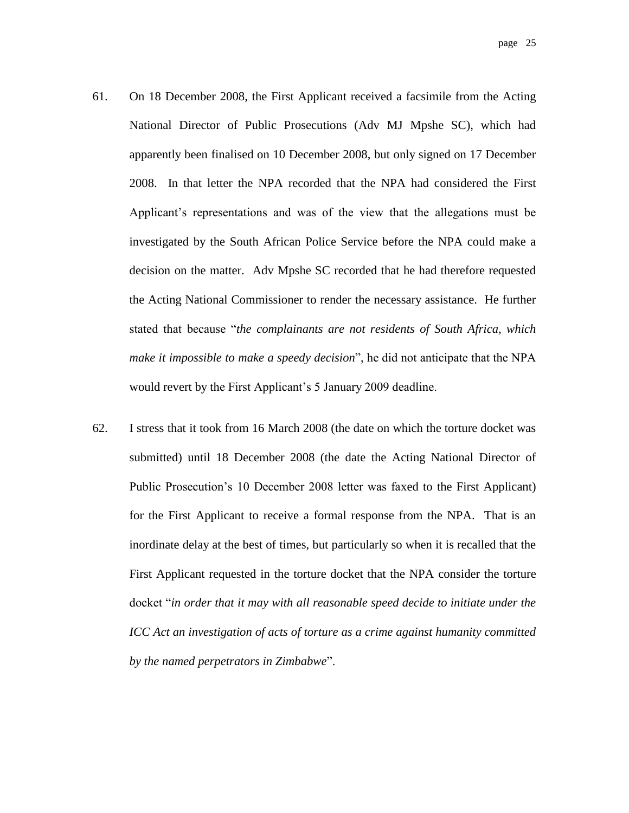- 61. On 18 December 2008, the First Applicant received a facsimile from the Acting National Director of Public Prosecutions (Adv MJ Mpshe SC), which had apparently been finalised on 10 December 2008, but only signed on 17 December 2008. In that letter the NPA recorded that the NPA had considered the First Applicant"s representations and was of the view that the allegations must be investigated by the South African Police Service before the NPA could make a decision on the matter. Adv Mpshe SC recorded that he had therefore requested the Acting National Commissioner to render the necessary assistance. He further stated that because "*the complainants are not residents of South Africa, which make it impossible to make a speedy decision*", he did not anticipate that the NPA would revert by the First Applicant's 5 January 2009 deadline.
- 62. I stress that it took from 16 March 2008 (the date on which the torture docket was submitted) until 18 December 2008 (the date the Acting National Director of Public Prosecution"s 10 December 2008 letter was faxed to the First Applicant) for the First Applicant to receive a formal response from the NPA. That is an inordinate delay at the best of times, but particularly so when it is recalled that the First Applicant requested in the torture docket that the NPA consider the torture docket "*in order that it may with all reasonable speed decide to initiate under the ICC Act an investigation of acts of torture as a crime against humanity committed by the named perpetrators in Zimbabwe*".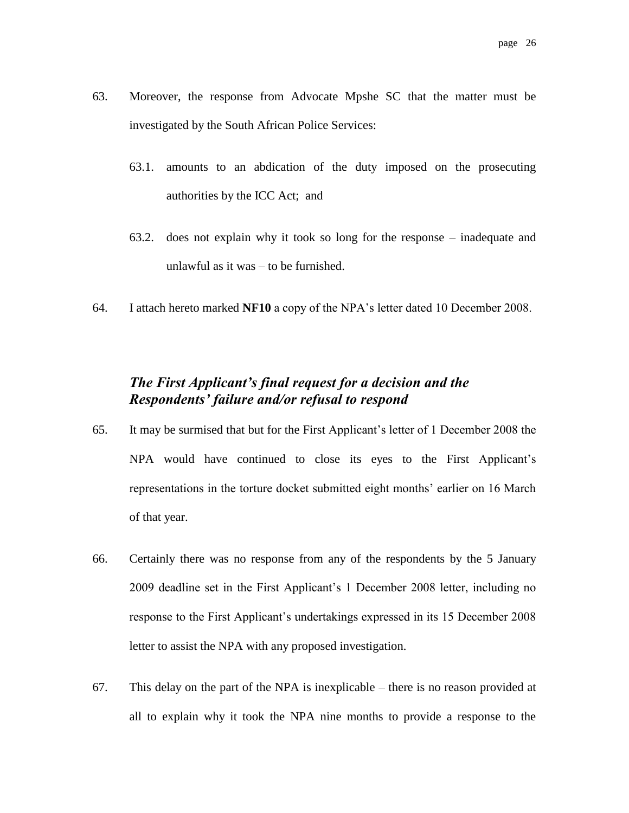- 63. Moreover, the response from Advocate Mpshe SC that the matter must be investigated by the South African Police Services:
	- 63.1. amounts to an abdication of the duty imposed on the prosecuting authorities by the ICC Act; and
	- 63.2. does not explain why it took so long for the response inadequate and unlawful as it was – to be furnished.
- 64. I attach hereto marked **NF10** a copy of the NPA"s letter dated 10 December 2008.

# *The First Applicant's final request for a decision and the Respondents' failure and/or refusal to respond*

- 65. It may be surmised that but for the First Applicant"s letter of 1 December 2008 the NPA would have continued to close its eyes to the First Applicant's representations in the torture docket submitted eight months" earlier on 16 March of that year.
- 66. Certainly there was no response from any of the respondents by the 5 January 2009 deadline set in the First Applicant"s 1 December 2008 letter, including no response to the First Applicant"s undertakings expressed in its 15 December 2008 letter to assist the NPA with any proposed investigation.
- 67. This delay on the part of the NPA is inexplicable there is no reason provided at all to explain why it took the NPA nine months to provide a response to the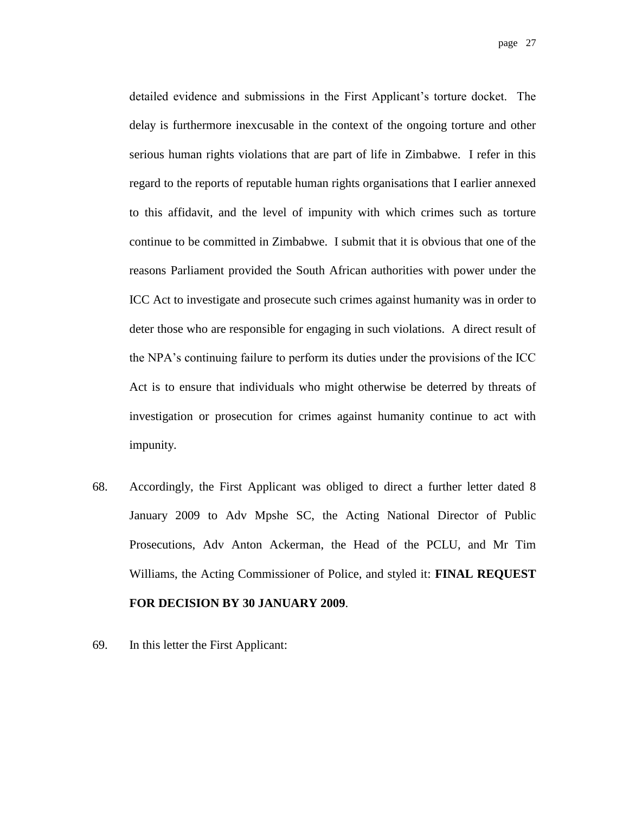detailed evidence and submissions in the First Applicant"s torture docket. The delay is furthermore inexcusable in the context of the ongoing torture and other serious human rights violations that are part of life in Zimbabwe. I refer in this regard to the reports of reputable human rights organisations that I earlier annexed to this affidavit, and the level of impunity with which crimes such as torture continue to be committed in Zimbabwe. I submit that it is obvious that one of the reasons Parliament provided the South African authorities with power under the ICC Act to investigate and prosecute such crimes against humanity was in order to deter those who are responsible for engaging in such violations. A direct result of the NPA"s continuing failure to perform its duties under the provisions of the ICC Act is to ensure that individuals who might otherwise be deterred by threats of investigation or prosecution for crimes against humanity continue to act with impunity.

- 68. Accordingly, the First Applicant was obliged to direct a further letter dated 8 January 2009 to Adv Mpshe SC, the Acting National Director of Public Prosecutions, Adv Anton Ackerman, the Head of the PCLU, and Mr Tim Williams, the Acting Commissioner of Police, and styled it: **FINAL REQUEST FOR DECISION BY 30 JANUARY 2009**.
- 69. In this letter the First Applicant: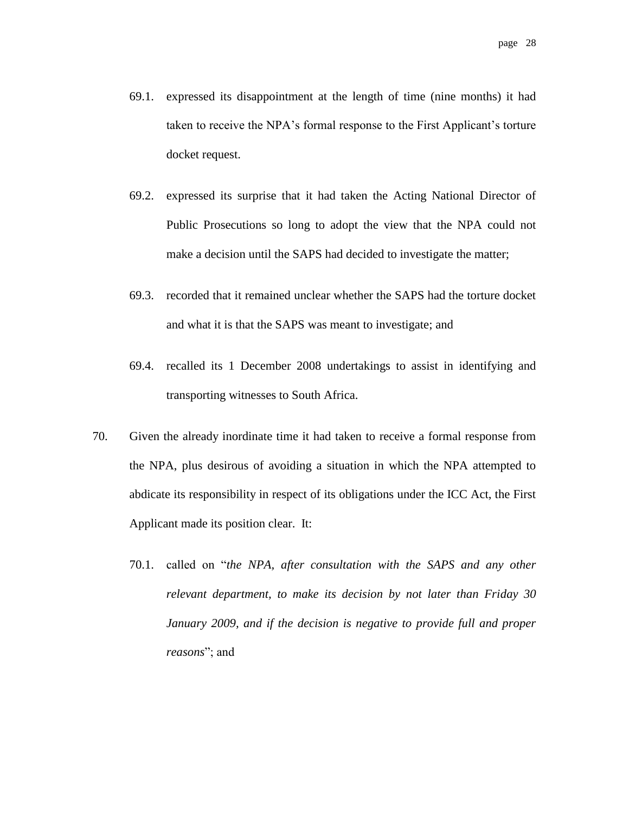- 69.1. expressed its disappointment at the length of time (nine months) it had taken to receive the NPA"s formal response to the First Applicant"s torture docket request.
- 69.2. expressed its surprise that it had taken the Acting National Director of Public Prosecutions so long to adopt the view that the NPA could not make a decision until the SAPS had decided to investigate the matter;
- 69.3. recorded that it remained unclear whether the SAPS had the torture docket and what it is that the SAPS was meant to investigate; and
- 69.4. recalled its 1 December 2008 undertakings to assist in identifying and transporting witnesses to South Africa.
- 70. Given the already inordinate time it had taken to receive a formal response from the NPA, plus desirous of avoiding a situation in which the NPA attempted to abdicate its responsibility in respect of its obligations under the ICC Act, the First Applicant made its position clear. It:
	- 70.1. called on "*the NPA, after consultation with the SAPS and any other relevant department, to make its decision by not later than Friday 30 January 2009, and if the decision is negative to provide full and proper reasons*"; and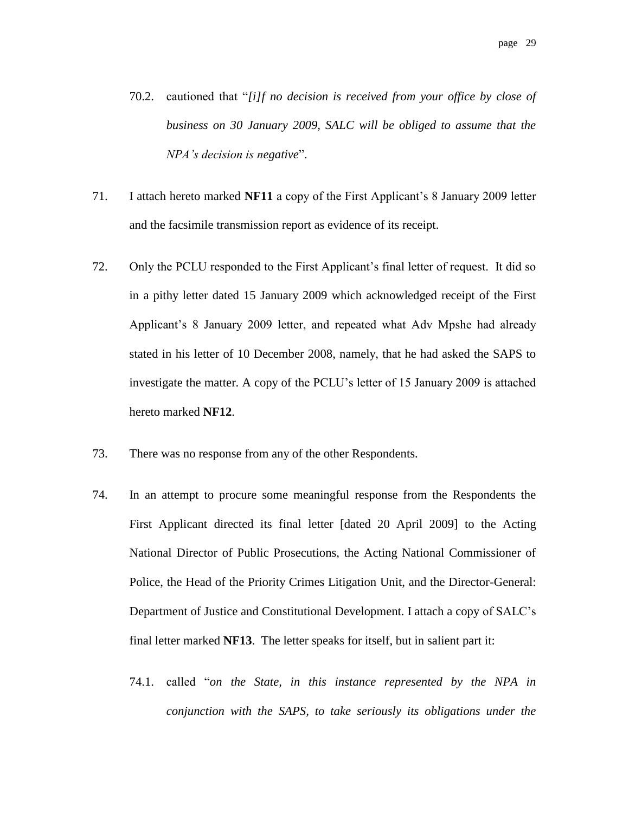- 70.2. cautioned that "*[i]f no decision is received from your office by close of business on 30 January 2009, SALC will be obliged to assume that the NPA's decision is negative*".
- 71. I attach hereto marked **NF11** a copy of the First Applicant"s 8 January 2009 letter and the facsimile transmission report as evidence of its receipt.
- 72. Only the PCLU responded to the First Applicant"s final letter of request. It did so in a pithy letter dated 15 January 2009 which acknowledged receipt of the First Applicant"s 8 January 2009 letter, and repeated what Adv Mpshe had already stated in his letter of 10 December 2008, namely, that he had asked the SAPS to investigate the matter. A copy of the PCLU"s letter of 15 January 2009 is attached hereto marked **NF12**.
- 73. There was no response from any of the other Respondents.
- 74. In an attempt to procure some meaningful response from the Respondents the First Applicant directed its final letter [dated 20 April 2009] to the Acting National Director of Public Prosecutions, the Acting National Commissioner of Police, the Head of the Priority Crimes Litigation Unit, and the Director-General: Department of Justice and Constitutional Development. I attach a copy of SALC"s final letter marked **NF13**. The letter speaks for itself, but in salient part it:
	- 74.1. called "*on the State, in this instance represented by the NPA in conjunction with the SAPS, to take seriously its obligations under the*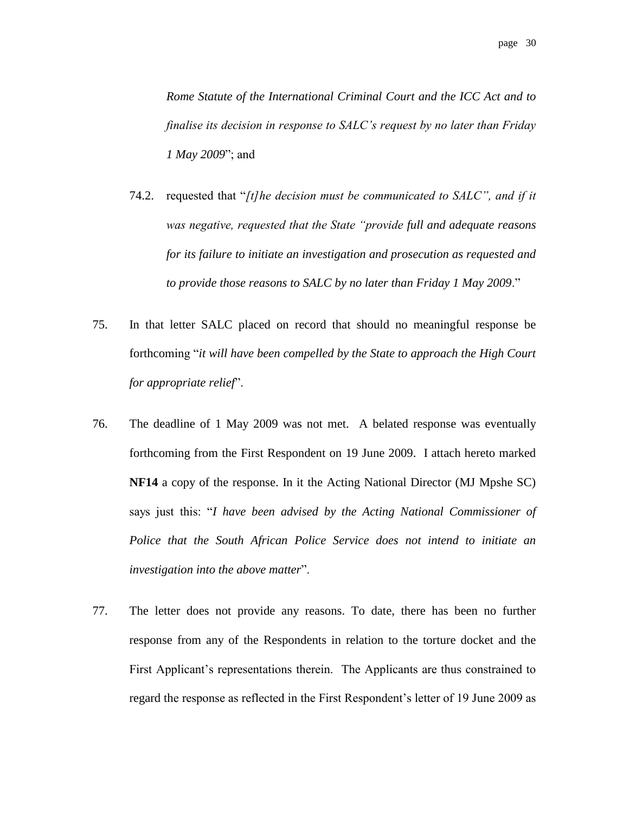*Rome Statute of the International Criminal Court and the ICC Act and to finalise its decision in response to SALC's request by no later than Friday 1 May 2009*"; and

- 74.2. requested that "*[t]he decision must be communicated to SALC", and if it was negative, requested that the State "provide full and adequate reasons for its failure to initiate an investigation and prosecution as requested and to provide those reasons to SALC by no later than Friday 1 May 2009*."
- 75. In that letter SALC placed on record that should no meaningful response be forthcoming "*it will have been compelled by the State to approach the High Court for appropriate relief*".
- 76. The deadline of 1 May 2009 was not met. A belated response was eventually forthcoming from the First Respondent on 19 June 2009. I attach hereto marked **NF14** a copy of the response. In it the Acting National Director (MJ Mpshe SC) says just this: "*I have been advised by the Acting National Commissioner of Police that the South African Police Service does not intend to initiate an investigation into the above matter*".
- 77. The letter does not provide any reasons. To date, there has been no further response from any of the Respondents in relation to the torture docket and the First Applicant's representations therein. The Applicants are thus constrained to regard the response as reflected in the First Respondent"s letter of 19 June 2009 as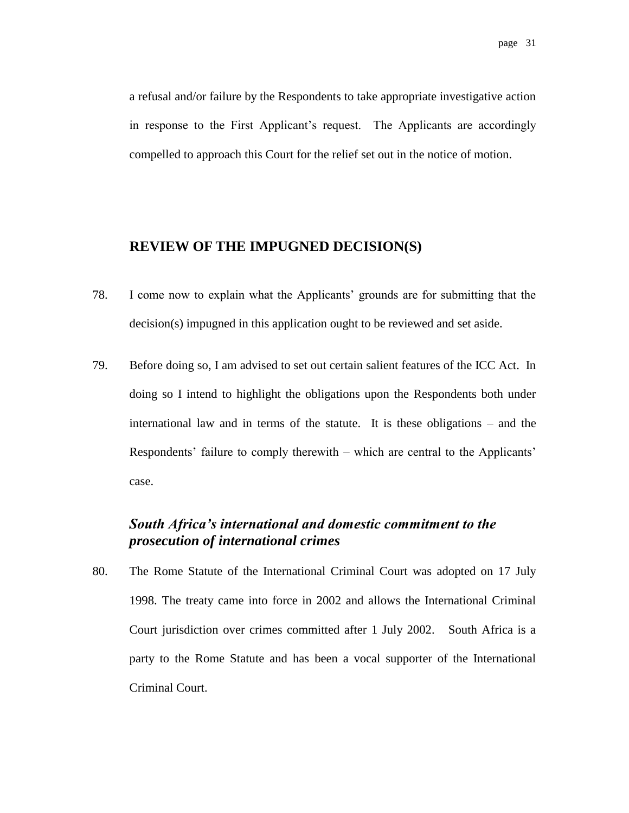a refusal and/or failure by the Respondents to take appropriate investigative action in response to the First Applicant"s request. The Applicants are accordingly compelled to approach this Court for the relief set out in the notice of motion.

## **REVIEW OF THE IMPUGNED DECISION(S)**

- 78. I come now to explain what the Applicants" grounds are for submitting that the decision(s) impugned in this application ought to be reviewed and set aside.
- 79. Before doing so, I am advised to set out certain salient features of the ICC Act. In doing so I intend to highlight the obligations upon the Respondents both under international law and in terms of the statute. It is these obligations – and the Respondents' failure to comply therewith – which are central to the Applicants' case.

# *South Africa's international and domestic commitment to the prosecution of international crimes*

80. The Rome Statute of the International Criminal Court was adopted on 17 July 1998. The treaty came into force in 2002 and allows the International Criminal Court jurisdiction over crimes committed after 1 July 2002. South Africa is a party to the Rome Statute and has been a vocal supporter of the International Criminal Court.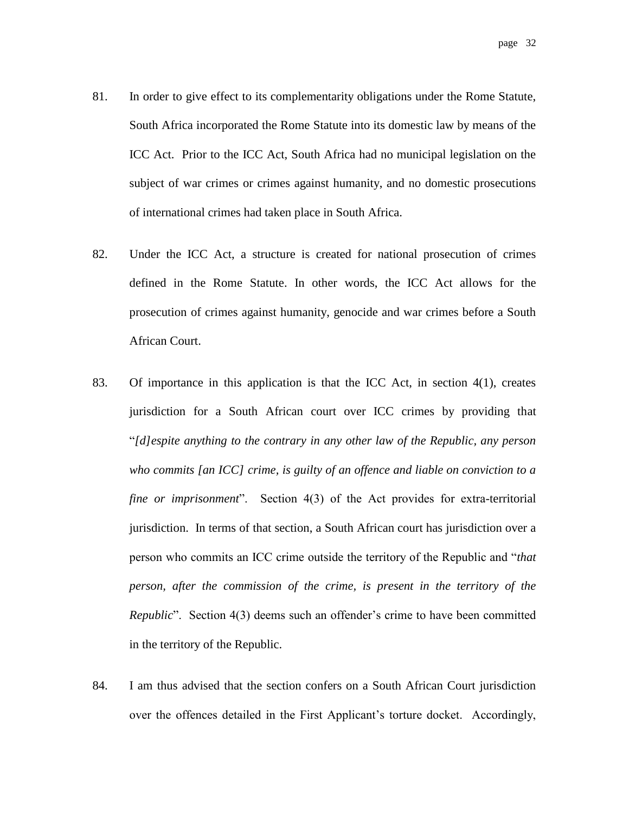- 81. In order to give effect to its complementarity obligations under the Rome Statute, South Africa incorporated the Rome Statute into its domestic law by means of the ICC Act. Prior to the ICC Act, South Africa had no municipal legislation on the subject of war crimes or crimes against humanity, and no domestic prosecutions of international crimes had taken place in South Africa.
- 82. Under the ICC Act, a structure is created for national prosecution of crimes defined in the Rome Statute. In other words, the ICC Act allows for the prosecution of crimes against humanity, genocide and war crimes before a South African Court.
- 83. Of importance in this application is that the ICC Act, in section 4(1), creates jurisdiction for a South African court over ICC crimes by providing that "*[d]espite anything to the contrary in any other law of the Republic, any person who commits [an ICC] crime, is guilty of an offence and liable on conviction to a fine or imprisonment*". Section 4(3) of the Act provides for extra-territorial jurisdiction. In terms of that section, a South African court has jurisdiction over a person who commits an ICC crime outside the territory of the Republic and "*that person, after the commission of the crime, is present in the territory of the Republic*". Section 4(3) deems such an offender's crime to have been committed in the territory of the Republic.
- 84. I am thus advised that the section confers on a South African Court jurisdiction over the offences detailed in the First Applicant"s torture docket. Accordingly,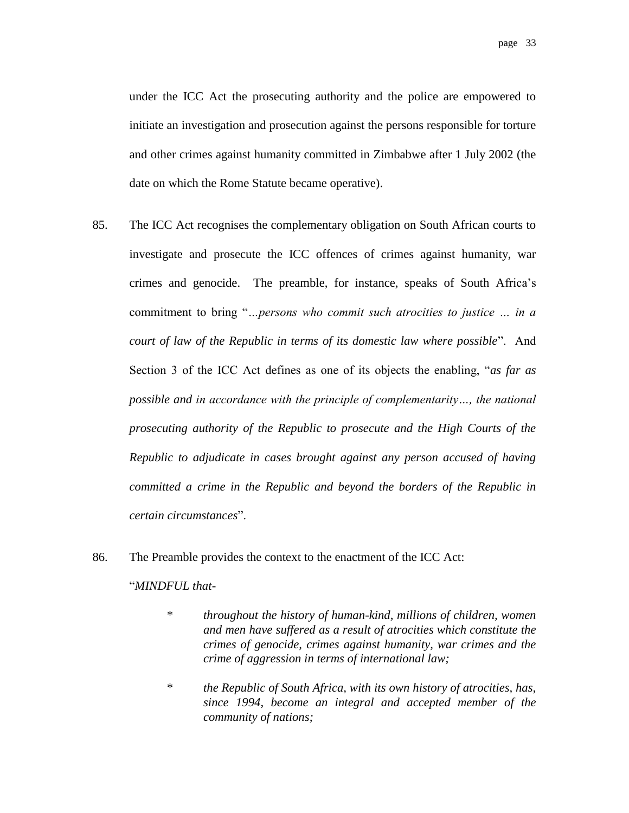under the ICC Act the prosecuting authority and the police are empowered to initiate an investigation and prosecution against the persons responsible for torture and other crimes against humanity committed in Zimbabwe after 1 July 2002 (the date on which the Rome Statute became operative).

- 85. The ICC Act recognises the complementary obligation on South African courts to investigate and prosecute the ICC offences of crimes against humanity, war crimes and genocide. The preamble, for instance, speaks of South Africa"s commitment to bring "*…persons who commit such atrocities to justice … in a court of law of the Republic in terms of its domestic law where possible*". And Section 3 of the ICC Act defines as one of its objects the enabling, "*as far as possible and in accordance with the principle of complementarity…, the national prosecuting authority of the Republic to prosecute and the High Courts of the Republic to adjudicate in cases brought against any person accused of having committed a crime in the Republic and beyond the borders of the Republic in certain circumstances*".
- 86. The Preamble provides the context to the enactment of the ICC Act: "*MINDFUL that-*
	- *\* throughout the history of human-kind, millions of children, women and men have suffered as a result of atrocities which constitute the crimes of genocide, crimes against humanity, war crimes and the crime of aggression in terms of international law;*
	- *\* the Republic of South Africa, with its own history of atrocities, has, since 1994, become an integral and accepted member of the community of nations;*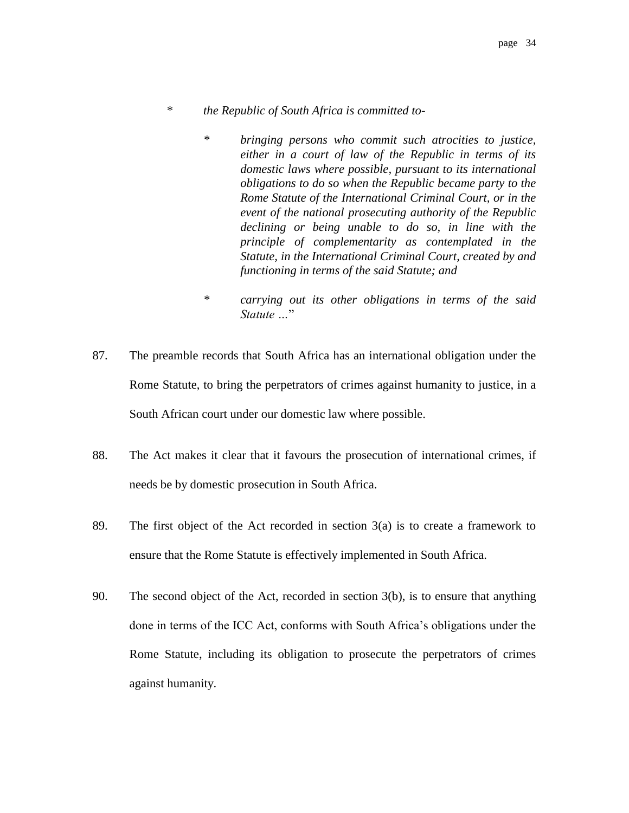- *\* the Republic of South Africa is committed to-*
	- *\* bringing persons who commit such atrocities to justice, either in a court of law of the Republic in terms of its domestic laws where possible, pursuant to its international obligations to do so when the Republic became party to the Rome Statute of the International Criminal Court, or in the event of the national prosecuting authority of the Republic declining or being unable to do so, in line with the principle of complementarity as contemplated in the Statute, in the International Criminal Court, created by and functioning in terms of the said Statute; and*
	- *\* carrying out its other obligations in terms of the said Statute …*"
- 87. The preamble records that South Africa has an international obligation under the Rome Statute, to bring the perpetrators of crimes against humanity to justice, in a South African court under our domestic law where possible.
- 88. The Act makes it clear that it favours the prosecution of international crimes, if needs be by domestic prosecution in South Africa.
- 89. The first object of the Act recorded in section 3(a) is to create a framework to ensure that the Rome Statute is effectively implemented in South Africa.
- 90. The second object of the Act, recorded in section 3(b), is to ensure that anything done in terms of the ICC Act, conforms with South Africa"s obligations under the Rome Statute, including its obligation to prosecute the perpetrators of crimes against humanity.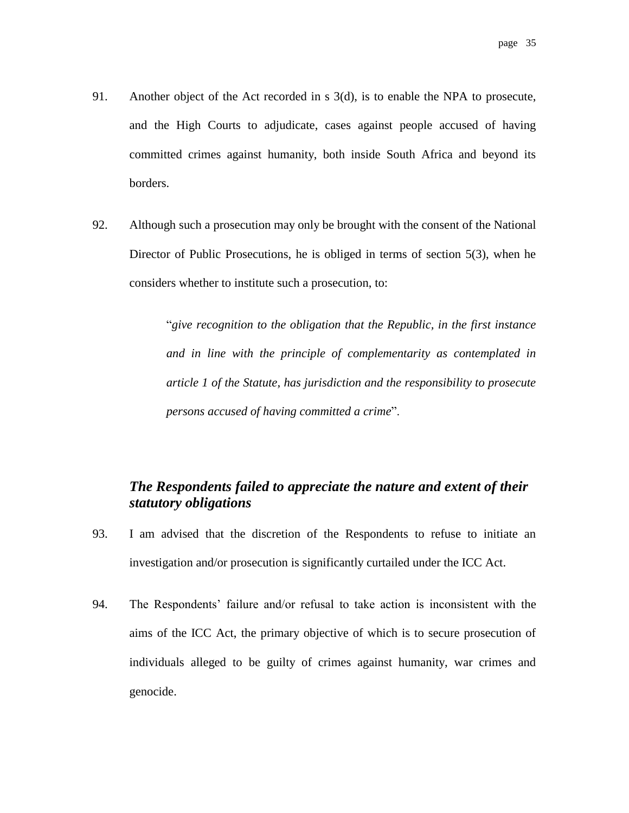- 91. Another object of the Act recorded in s 3(d), is to enable the NPA to prosecute, and the High Courts to adjudicate, cases against people accused of having committed crimes against humanity, both inside South Africa and beyond its borders.
- 92. Although such a prosecution may only be brought with the consent of the National Director of Public Prosecutions, he is obliged in terms of section 5(3), when he considers whether to institute such a prosecution, to:

"*give recognition to the obligation that the Republic, in the first instance and in line with the principle of complementarity as contemplated in article 1 of the Statute, has jurisdiction and the responsibility to prosecute persons accused of having committed a crime*".

# *The Respondents failed to appreciate the nature and extent of their statutory obligations*

- 93. I am advised that the discretion of the Respondents to refuse to initiate an investigation and/or prosecution is significantly curtailed under the ICC Act.
- 94. The Respondents" failure and/or refusal to take action is inconsistent with the aims of the ICC Act, the primary objective of which is to secure prosecution of individuals alleged to be guilty of crimes against humanity, war crimes and genocide.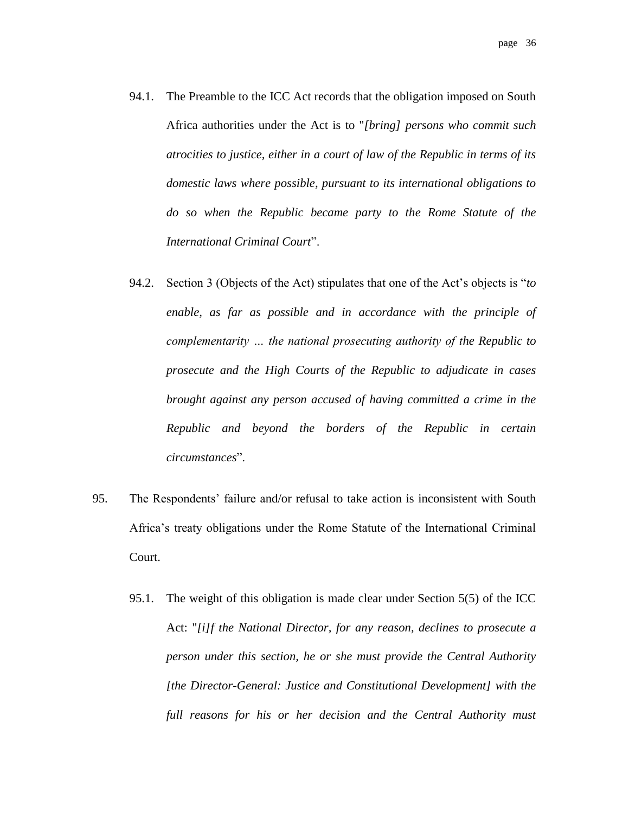- 94.1. The Preamble to the ICC Act records that the obligation imposed on South Africa authorities under the Act is to "*[bring] persons who commit such atrocities to justice, either in a court of law of the Republic in terms of its domestic laws where possible, pursuant to its international obligations to do so when the Republic became party to the Rome Statute of the International Criminal Court*".
- 94.2. Section 3 (Objects of the Act) stipulates that one of the Act"s objects is "*to enable, as far as possible and in accordance with the principle of complementarity … the national prosecuting authority of the Republic to prosecute and the High Courts of the Republic to adjudicate in cases brought against any person accused of having committed a crime in the Republic and beyond the borders of the Republic in certain circumstances*".
- 95. The Respondents" failure and/or refusal to take action is inconsistent with South Africa"s treaty obligations under the Rome Statute of the International Criminal Court.
	- 95.1. The weight of this obligation is made clear under Section 5(5) of the ICC Act: "*[i]f the National Director, for any reason, declines to prosecute a person under this section, he or she must provide the Central Authority [the Director-General: Justice and Constitutional Development] with the full reasons for his or her decision and the Central Authority must*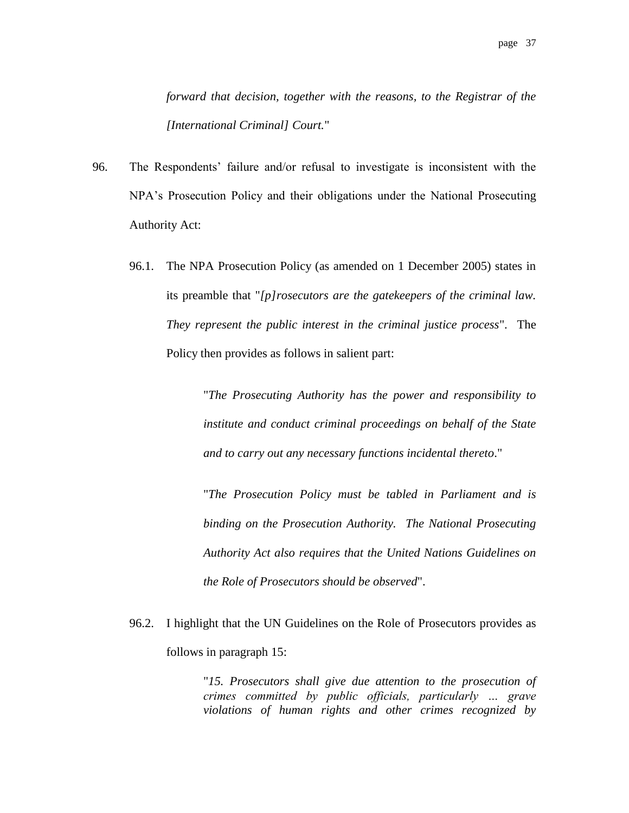*forward that decision, together with the reasons, to the Registrar of the [International Criminal] Court.*"

- 96. The Respondents" failure and/or refusal to investigate is inconsistent with the NPA"s Prosecution Policy and their obligations under the National Prosecuting Authority Act:
	- 96.1. The NPA Prosecution Policy (as amended on 1 December 2005) states in its preamble that "*[p]rosecutors are the gatekeepers of the criminal law. They represent the public interest in the criminal justice process*". The Policy then provides as follows in salient part:

"*The Prosecuting Authority has the power and responsibility to institute and conduct criminal proceedings on behalf of the State and to carry out any necessary functions incidental thereto*."

"*The Prosecution Policy must be tabled in Parliament and is binding on the Prosecution Authority. The National Prosecuting Authority Act also requires that the United Nations Guidelines on the Role of Prosecutors should be observed*".

96.2. I highlight that the UN Guidelines on the Role of Prosecutors provides as follows in paragraph 15:

> "*15. Prosecutors shall give due attention to the prosecution of crimes committed by public officials, particularly … grave violations of human rights and other crimes recognized by*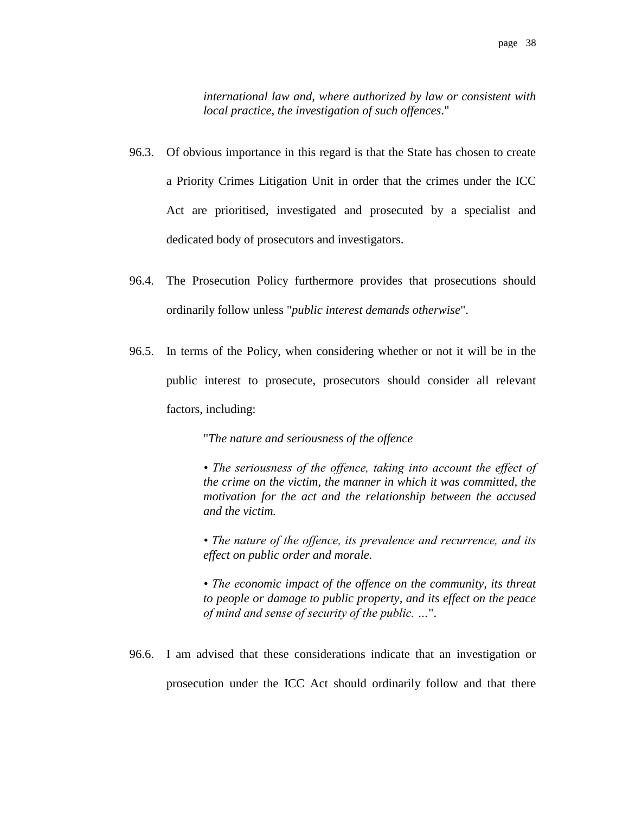*international law and, where authorized by law or consistent with local practice, the investigation of such offences*."

- 96.3. Of obvious importance in this regard is that the State has chosen to create a Priority Crimes Litigation Unit in order that the crimes under the ICC Act are prioritised, investigated and prosecuted by a specialist and dedicated body of prosecutors and investigators.
- 96.4. The Prosecution Policy furthermore provides that prosecutions should ordinarily follow unless "*public interest demands otherwise*".
- 96.5. In terms of the Policy, when considering whether or not it will be in the public interest to prosecute, prosecutors should consider all relevant factors, including:

"*The nature and seriousness of the offence*

*• The seriousness of the offence, taking into account the effect of the crime on the victim, the manner in which it was committed, the motivation for the act and the relationship between the accused and the victim.*

*• The nature of the offence, its prevalence and recurrence, and its effect on public order and morale.*

• The economic impact of the offence on the community, its threat *to people or damage to public property, and its effect on the peace of mind and sense of security of the public. …*".

96.6. I am advised that these considerations indicate that an investigation or prosecution under the ICC Act should ordinarily follow and that there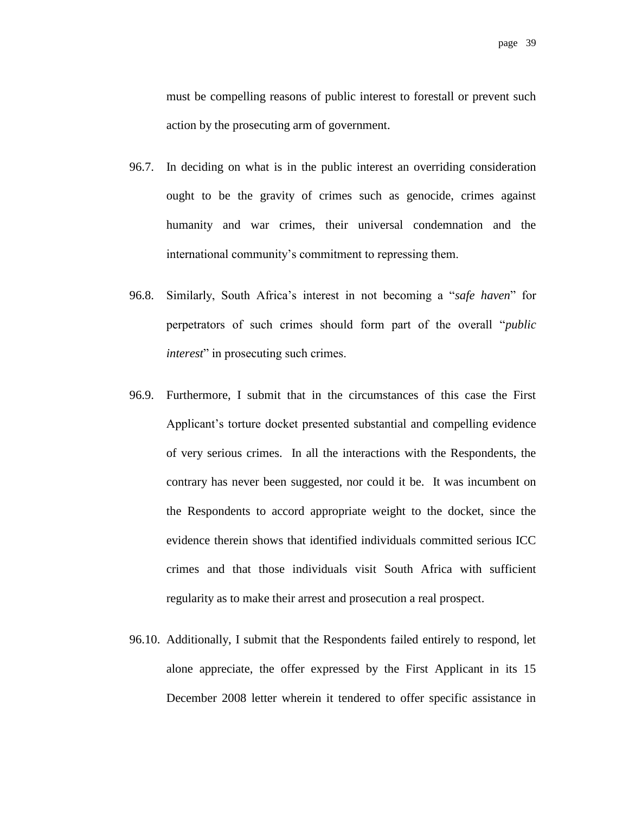must be compelling reasons of public interest to forestall or prevent such action by the prosecuting arm of government.

- 96.7. In deciding on what is in the public interest an overriding consideration ought to be the gravity of crimes such as genocide, crimes against humanity and war crimes, their universal condemnation and the international community's commitment to repressing them.
- 96.8. Similarly, South Africa"s interest in not becoming a "*safe haven*" for perpetrators of such crimes should form part of the overall "*public interest*" in prosecuting such crimes.
- 96.9. Furthermore, I submit that in the circumstances of this case the First Applicant"s torture docket presented substantial and compelling evidence of very serious crimes. In all the interactions with the Respondents, the contrary has never been suggested, nor could it be. It was incumbent on the Respondents to accord appropriate weight to the docket, since the evidence therein shows that identified individuals committed serious ICC crimes and that those individuals visit South Africa with sufficient regularity as to make their arrest and prosecution a real prospect.
- 96.10. Additionally, I submit that the Respondents failed entirely to respond, let alone appreciate, the offer expressed by the First Applicant in its 15 December 2008 letter wherein it tendered to offer specific assistance in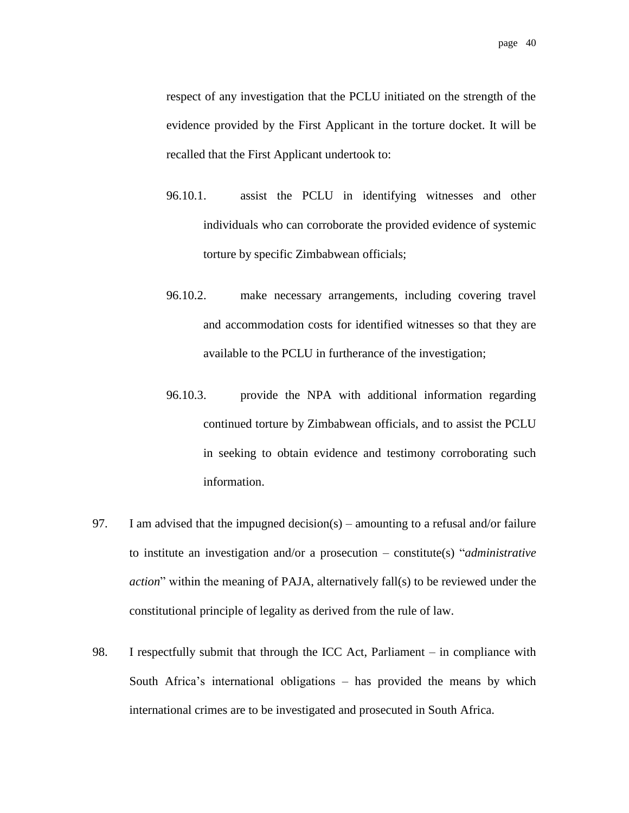respect of any investigation that the PCLU initiated on the strength of the evidence provided by the First Applicant in the torture docket. It will be recalled that the First Applicant undertook to:

- 96.10.1. assist the PCLU in identifying witnesses and other individuals who can corroborate the provided evidence of systemic torture by specific Zimbabwean officials;
- 96.10.2. make necessary arrangements, including covering travel and accommodation costs for identified witnesses so that they are available to the PCLU in furtherance of the investigation;
- 96.10.3. provide the NPA with additional information regarding continued torture by Zimbabwean officials, and to assist the PCLU in seeking to obtain evidence and testimony corroborating such information.
- 97. I am advised that the impugned decision(s) amounting to a refusal and/or failure to institute an investigation and/or a prosecution – constitute(s) "*administrative action*" within the meaning of PAJA, alternatively fall(s) to be reviewed under the constitutional principle of legality as derived from the rule of law.
- 98. I respectfully submit that through the ICC Act, Parliament in compliance with South Africa"s international obligations – has provided the means by which international crimes are to be investigated and prosecuted in South Africa.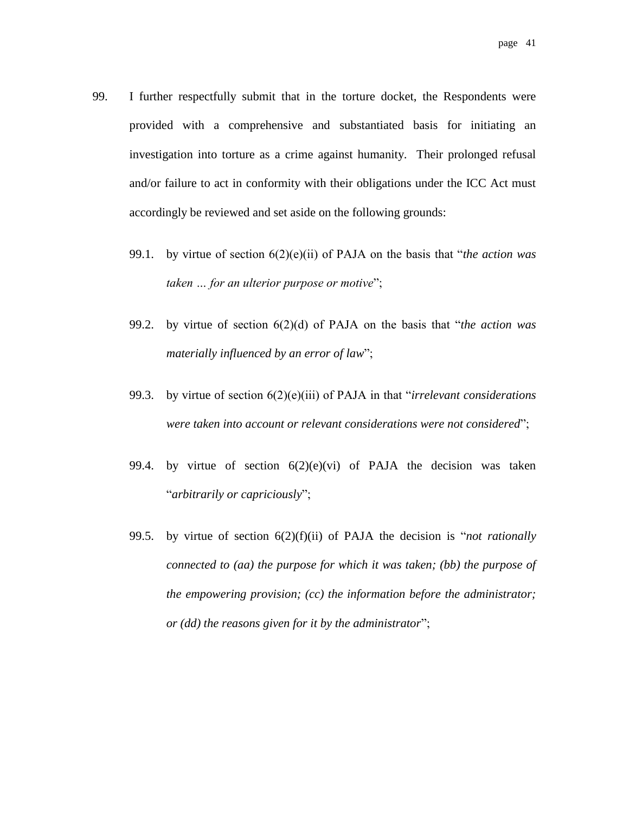- 99. I further respectfully submit that in the torture docket, the Respondents were provided with a comprehensive and substantiated basis for initiating an investigation into torture as a crime against humanity. Their prolonged refusal and/or failure to act in conformity with their obligations under the ICC Act must accordingly be reviewed and set aside on the following grounds:
	- 99.1. by virtue of section 6(2)(e)(ii) of PAJA on the basis that "*the action was taken … for an ulterior purpose or motive*";
	- 99.2. by virtue of section 6(2)(d) of PAJA on the basis that "*the action was materially influenced by an error of law*";
	- 99.3. by virtue of section 6(2)(e)(iii) of PAJA in that "*irrelevant considerations were taken into account or relevant considerations were not considered*";
	- 99.4. by virtue of section  $6(2)(e)(vi)$  of PAJA the decision was taken "*arbitrarily or capriciously*";
	- 99.5. by virtue of section 6(2)(f)(ii) of PAJA the decision is "*not rationally connected to (aa) the purpose for which it was taken; (bb) the purpose of the empowering provision; (cc) the information before the administrator; or (dd) the reasons given for it by the administrator*";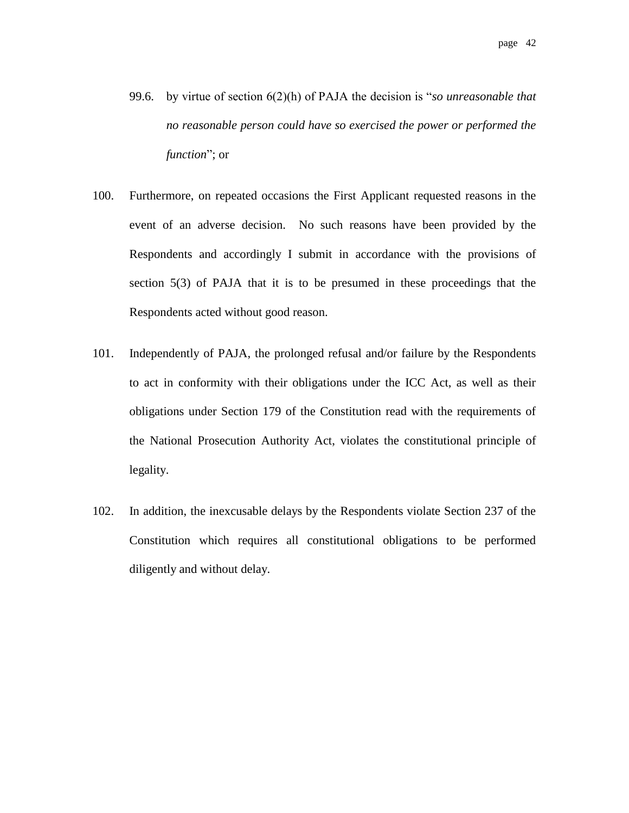- 99.6. by virtue of section 6(2)(h) of PAJA the decision is "*so unreasonable that no reasonable person could have so exercised the power or performed the function*"; or
- 100. Furthermore, on repeated occasions the First Applicant requested reasons in the event of an adverse decision. No such reasons have been provided by the Respondents and accordingly I submit in accordance with the provisions of section 5(3) of PAJA that it is to be presumed in these proceedings that the Respondents acted without good reason.
- 101. Independently of PAJA, the prolonged refusal and/or failure by the Respondents to act in conformity with their obligations under the ICC Act, as well as their obligations under Section 179 of the Constitution read with the requirements of the National Prosecution Authority Act, violates the constitutional principle of legality.
- 102. In addition, the inexcusable delays by the Respondents violate Section 237 of the Constitution which requires all constitutional obligations to be performed diligently and without delay.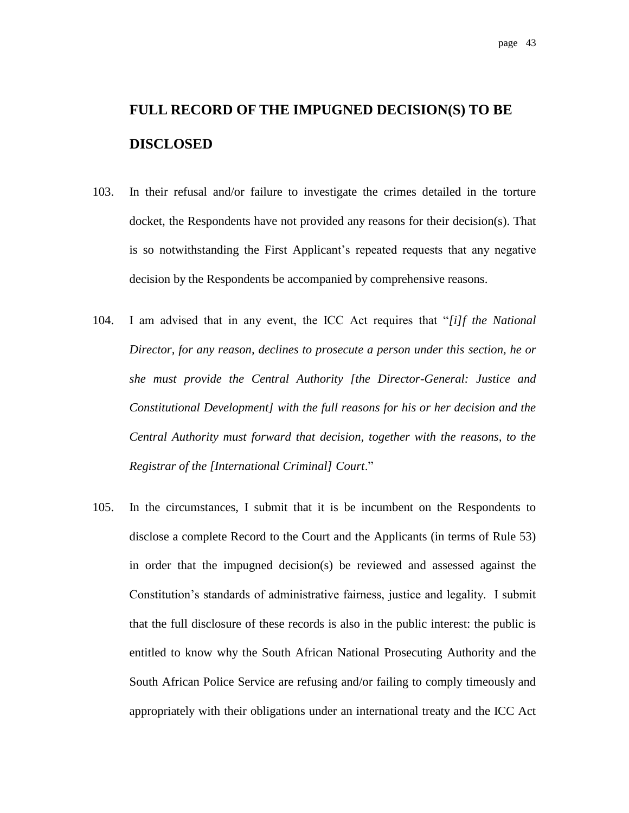# **FULL RECORD OF THE IMPUGNED DECISION(S) TO BE DISCLOSED**

- 103. In their refusal and/or failure to investigate the crimes detailed in the torture docket, the Respondents have not provided any reasons for their decision(s). That is so notwithstanding the First Applicant's repeated requests that any negative decision by the Respondents be accompanied by comprehensive reasons.
- 104. I am advised that in any event, the ICC Act requires that "*[i]f the National Director, for any reason, declines to prosecute a person under this section, he or she must provide the Central Authority [the Director-General: Justice and Constitutional Development] with the full reasons for his or her decision and the Central Authority must forward that decision, together with the reasons, to the Registrar of the [International Criminal] Court*."
- 105. In the circumstances, I submit that it is be incumbent on the Respondents to disclose a complete Record to the Court and the Applicants (in terms of Rule 53) in order that the impugned decision(s) be reviewed and assessed against the Constitution"s standards of administrative fairness, justice and legality. I submit that the full disclosure of these records is also in the public interest: the public is entitled to know why the South African National Prosecuting Authority and the South African Police Service are refusing and/or failing to comply timeously and appropriately with their obligations under an international treaty and the ICC Act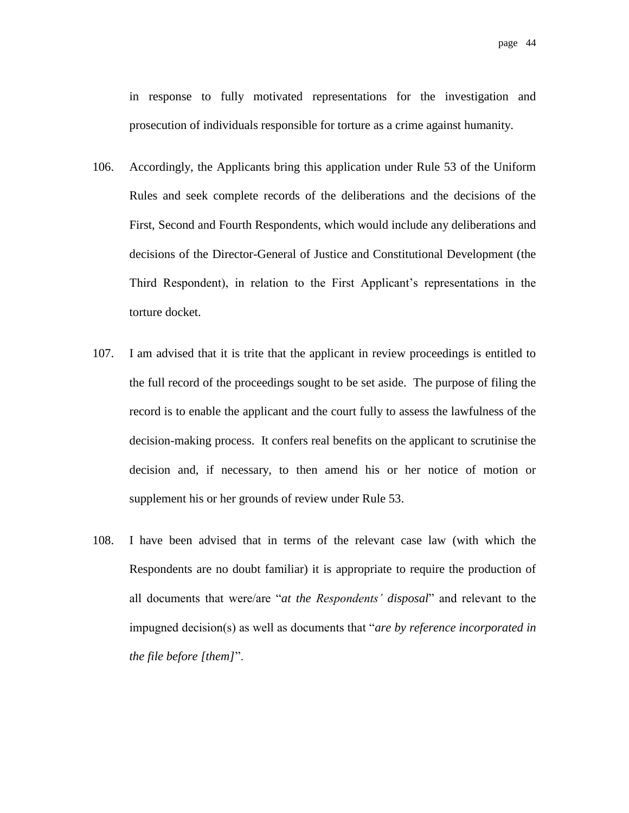in response to fully motivated representations for the investigation and prosecution of individuals responsible for torture as a crime against humanity.

- 106. Accordingly, the Applicants bring this application under Rule 53 of the Uniform Rules and seek complete records of the deliberations and the decisions of the First, Second and Fourth Respondents, which would include any deliberations and decisions of the Director-General of Justice and Constitutional Development (the Third Respondent), in relation to the First Applicant"s representations in the torture docket.
- 107. I am advised that it is trite that the applicant in review proceedings is entitled to the full record of the proceedings sought to be set aside. The purpose of filing the record is to enable the applicant and the court fully to assess the lawfulness of the decision-making process. It confers real benefits on the applicant to scrutinise the decision and, if necessary, to then amend his or her notice of motion or supplement his or her grounds of review under Rule 53.
- 108. I have been advised that in terms of the relevant case law (with which the Respondents are no doubt familiar) it is appropriate to require the production of all documents that were/are "*at the Respondents' disposal*" and relevant to the impugned decision(s) as well as documents that "*are by reference incorporated in the file before [them]*".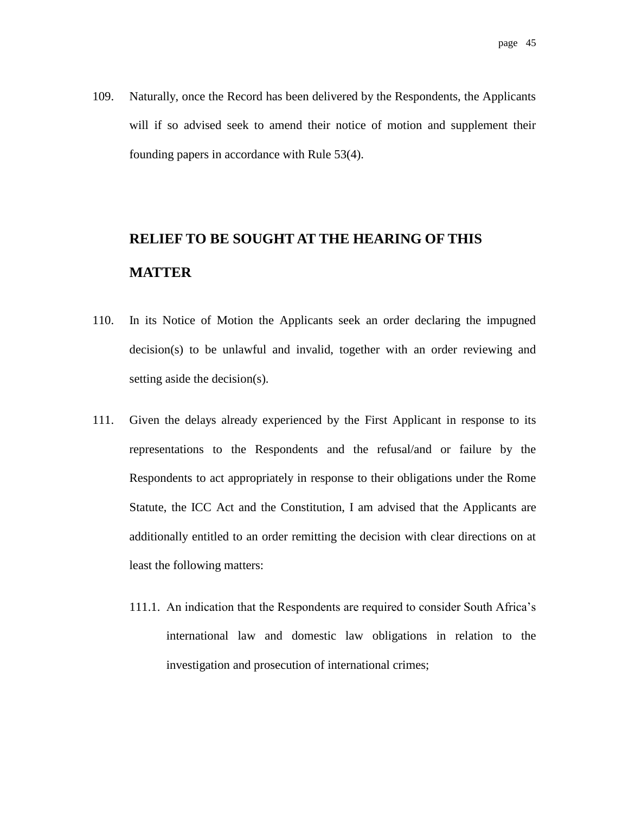109. Naturally, once the Record has been delivered by the Respondents, the Applicants will if so advised seek to amend their notice of motion and supplement their founding papers in accordance with Rule 53(4).

# **RELIEF TO BE SOUGHT AT THE HEARING OF THIS MATTER**

- 110. In its Notice of Motion the Applicants seek an order declaring the impugned decision(s) to be unlawful and invalid, together with an order reviewing and setting aside the decision(s).
- 111. Given the delays already experienced by the First Applicant in response to its representations to the Respondents and the refusal/and or failure by the Respondents to act appropriately in response to their obligations under the Rome Statute, the ICC Act and the Constitution, I am advised that the Applicants are additionally entitled to an order remitting the decision with clear directions on at least the following matters:
	- 111.1. An indication that the Respondents are required to consider South Africa"s international law and domestic law obligations in relation to the investigation and prosecution of international crimes;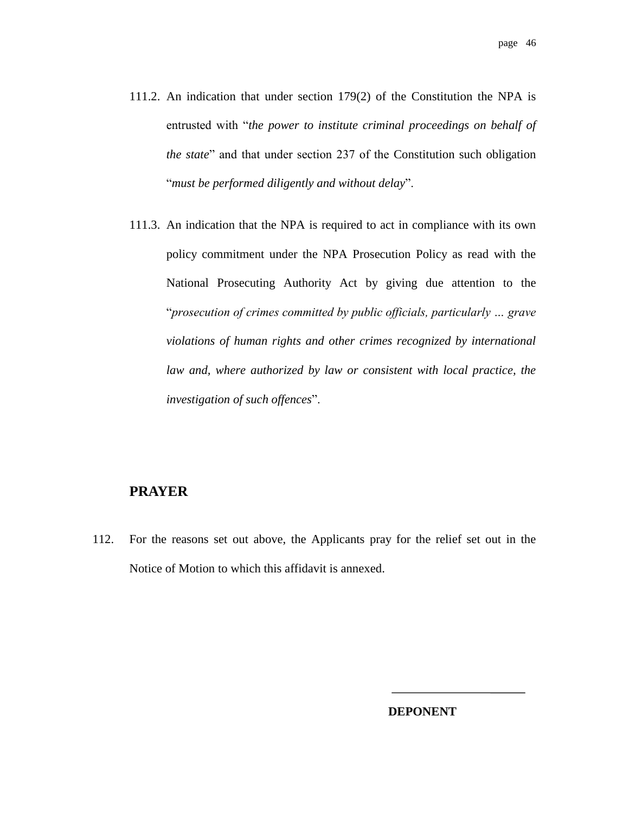- 111.2. An indication that under section 179(2) of the Constitution the NPA is entrusted with "*the power to institute criminal proceedings on behalf of the state*" and that under section 237 of the Constitution such obligation "*must be performed diligently and without delay*".
- 111.3. An indication that the NPA is required to act in compliance with its own policy commitment under the NPA Prosecution Policy as read with the National Prosecuting Authority Act by giving due attention to the "*prosecution of crimes committed by public officials, particularly … grave violations of human rights and other crimes recognized by international law and, where authorized by law or consistent with local practice, the investigation of such offences*".

## **PRAYER**

112. For the reasons set out above, the Applicants pray for the relief set out in the Notice of Motion to which this affidavit is annexed.

**DEPONENT**